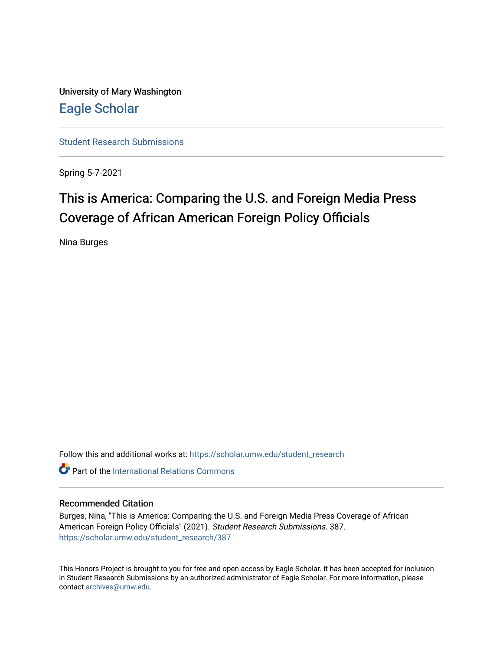University of Mary Washington [Eagle Scholar](https://scholar.umw.edu/) 

[Student Research Submissions](https://scholar.umw.edu/student_research) 

Spring 5-7-2021

## This is America: Comparing the U.S. and Foreign Media Press Coverage of African American Foreign Policy Officials

Nina Burges

Follow this and additional works at: [https://scholar.umw.edu/student\\_research](https://scholar.umw.edu/student_research?utm_source=scholar.umw.edu%2Fstudent_research%2F387&utm_medium=PDF&utm_campaign=PDFCoverPages)

**C** Part of the International Relations Commons

#### Recommended Citation

Burges, Nina, "This is America: Comparing the U.S. and Foreign Media Press Coverage of African American Foreign Policy Officials" (2021). Student Research Submissions. 387. [https://scholar.umw.edu/student\\_research/387](https://scholar.umw.edu/student_research/387?utm_source=scholar.umw.edu%2Fstudent_research%2F387&utm_medium=PDF&utm_campaign=PDFCoverPages)

This Honors Project is brought to you for free and open access by Eagle Scholar. It has been accepted for inclusion in Student Research Submissions by an authorized administrator of Eagle Scholar. For more information, please contact [archives@umw.edu](mailto:archives@umw.edu).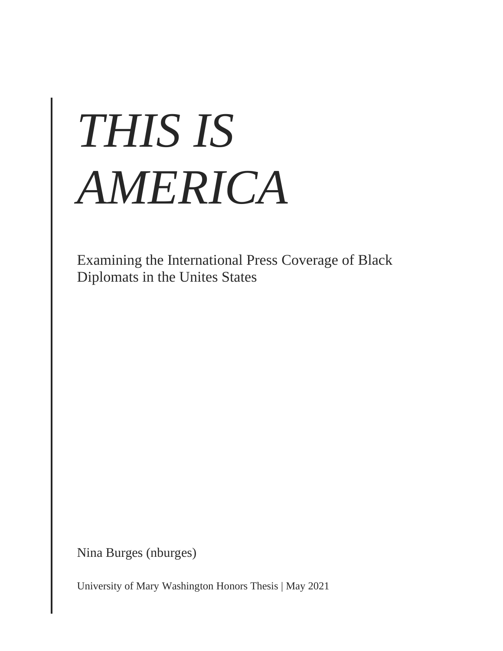# *THIS IS AMERICA*

Examining the International Press Coverage of Black Diplomats in the Unites States

Nina Burges (nburges)

University of Mary Washington Honors Thesis | May 2021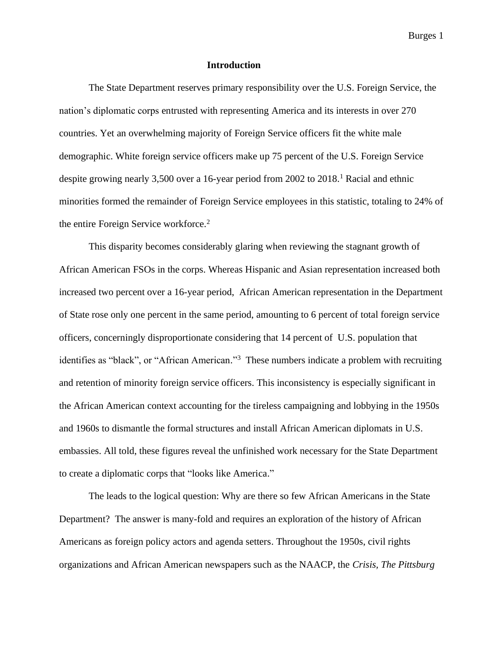#### **Introduction**

The State Department reserves primary responsibility over the U.S. Foreign Service, the nation's diplomatic corps entrusted with representing America and its interests in over 270 countries. Yet an overwhelming majority of Foreign Service officers fit the white male demographic. White foreign service officers make up 75 percent of the U.S. Foreign Service despite growing nearly 3,500 over a 16-year period from 2002 to 2018.<sup>1</sup> Racial and ethnic minorities formed the remainder of Foreign Service employees in this statistic, totaling to 24% of the entire Foreign Service workforce.<sup>2</sup>

This disparity becomes considerably glaring when reviewing the stagnant growth of African American FSOs in the corps. Whereas Hispanic and Asian representation increased both increased two percent over a 16-year period, African American representation in the Department of State rose only one percent in the same period, amounting to 6 percent of total foreign service officers, concerningly disproportionate considering that 14 percent of U.S. population that identifies as "black", or "African American."<sup>3</sup> These numbers indicate a problem with recruiting and retention of minority foreign service officers. This inconsistency is especially significant in the African American context accounting for the tireless campaigning and lobbying in the 1950s and 1960s to dismantle the formal structures and install African American diplomats in U.S. embassies. All told, these figures reveal the unfinished work necessary for the State Department to create a diplomatic corps that "looks like America."

The leads to the logical question: Why are there so few African Americans in the State Department? The answer is many-fold and requires an exploration of the history of African Americans as foreign policy actors and agenda setters. Throughout the 1950s, civil rights organizations and African American newspapers such as the NAACP, the *Crisis, The Pittsburg*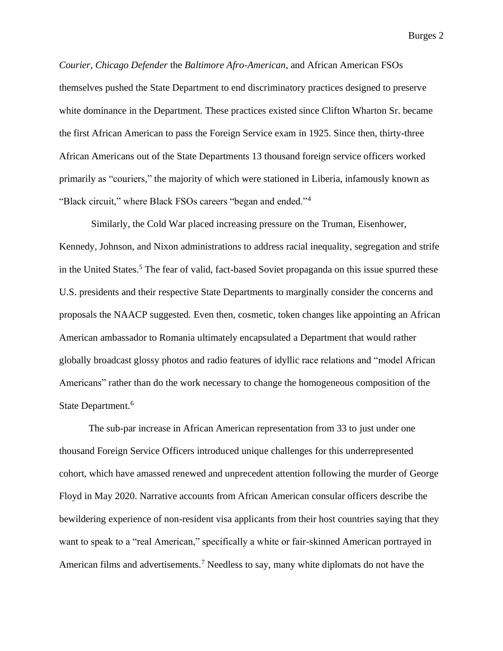*Courier, Chicago Defender* the *Baltimore Afro-American,* and African American FSOs themselves pushed the State Department to end discriminatory practices designed to preserve white dominance in the Department. These practices existed since Clifton Wharton Sr. became the first African American to pass the Foreign Service exam in 1925. Since then, thirty-three African Americans out of the State Departments 13 thousand foreign service officers worked primarily as "couriers," the majority of which were stationed in Liberia, infamously known as "Black circuit," where Black FSOs careers "began and ended."<sup>4</sup>

Similarly, the Cold War placed increasing pressure on the Truman, Eisenhower, Kennedy, Johnson, and Nixon administrations to address racial inequality, segregation and strife in the United States.<sup>5</sup> The fear of valid, fact-based Soviet propaganda on this issue spurred these U.S. presidents and their respective State Departments to marginally consider the concerns and proposals the NAACP suggested. Even then, cosmetic, token changes like appointing an African American ambassador to Romania ultimately encapsulated a Department that would rather globally broadcast glossy photos and radio features of idyllic race relations and "model African Americans" rather than do the work necessary to change the homogeneous composition of the State Department. 6

The sub-par increase in African American representation from 33 to just under one thousand Foreign Service Officers introduced unique challenges for this underrepresented cohort, which have amassed renewed and unprecedent attention following the murder of George Floyd in May 2020. Narrative accounts from African American consular officers describe the bewildering experience of non-resident visa applicants from their host countries saying that they want to speak to a "real American," specifically a white or fair-skinned American portrayed in American films and advertisements.<sup>7</sup> Needless to say, many white diplomats do not have the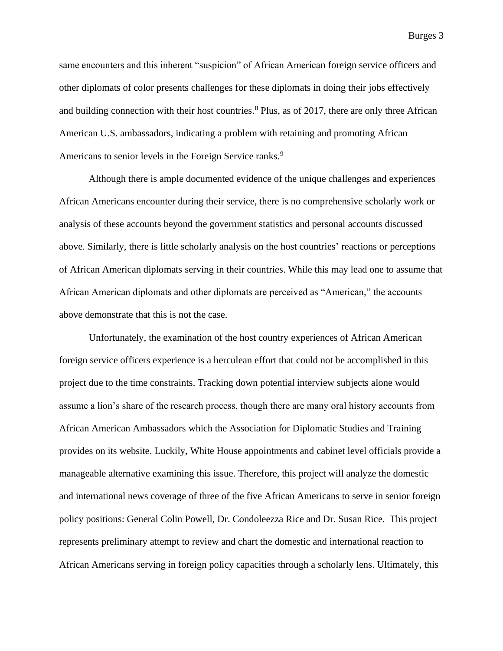same encounters and this inherent "suspicion" of African American foreign service officers and other diplomats of color presents challenges for these diplomats in doing their jobs effectively and building connection with their host countries.<sup>8</sup> Plus, as of 2017, there are only three African American U.S. ambassadors, indicating a problem with retaining and promoting African Americans to senior levels in the Foreign Service ranks.<sup>9</sup>

Although there is ample documented evidence of the unique challenges and experiences African Americans encounter during their service, there is no comprehensive scholarly work or analysis of these accounts beyond the government statistics and personal accounts discussed above. Similarly, there is little scholarly analysis on the host countries' reactions or perceptions of African American diplomats serving in their countries. While this may lead one to assume that African American diplomats and other diplomats are perceived as "American," the accounts above demonstrate that this is not the case.

Unfortunately, the examination of the host country experiences of African American foreign service officers experience is a herculean effort that could not be accomplished in this project due to the time constraints. Tracking down potential interview subjects alone would assume a lion's share of the research process, though there are many oral history accounts from African American Ambassadors which the Association for Diplomatic Studies and Training provides on its website. Luckily, White House appointments and cabinet level officials provide a manageable alternative examining this issue. Therefore, this project will analyze the domestic and international news coverage of three of the five African Americans to serve in senior foreign policy positions: General Colin Powell, Dr. Condoleezza Rice and Dr. Susan Rice. This project represents preliminary attempt to review and chart the domestic and international reaction to African Americans serving in foreign policy capacities through a scholarly lens. Ultimately, this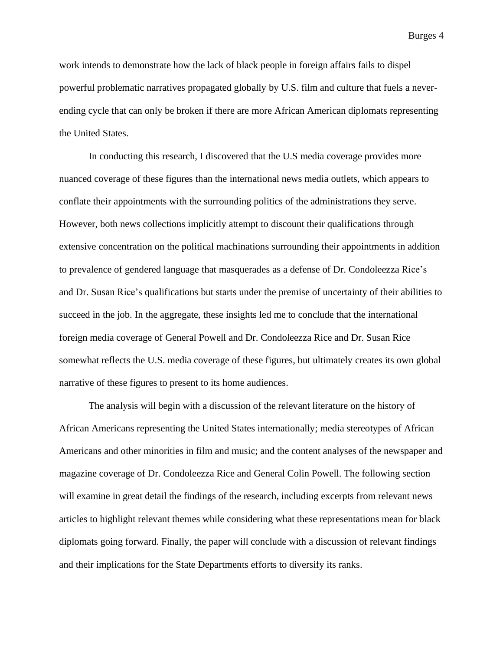work intends to demonstrate how the lack of black people in foreign affairs fails to dispel powerful problematic narratives propagated globally by U.S. film and culture that fuels a neverending cycle that can only be broken if there are more African American diplomats representing the United States.

In conducting this research, I discovered that the U.S media coverage provides more nuanced coverage of these figures than the international news media outlets, which appears to conflate their appointments with the surrounding politics of the administrations they serve. However, both news collections implicitly attempt to discount their qualifications through extensive concentration on the political machinations surrounding their appointments in addition to prevalence of gendered language that masquerades as a defense of Dr. Condoleezza Rice's and Dr. Susan Rice's qualifications but starts under the premise of uncertainty of their abilities to succeed in the job. In the aggregate, these insights led me to conclude that the international foreign media coverage of General Powell and Dr. Condoleezza Rice and Dr. Susan Rice somewhat reflects the U.S. media coverage of these figures, but ultimately creates its own global narrative of these figures to present to its home audiences.

The analysis will begin with a discussion of the relevant literature on the history of African Americans representing the United States internationally; media stereotypes of African Americans and other minorities in film and music; and the content analyses of the newspaper and magazine coverage of Dr. Condoleezza Rice and General Colin Powell. The following section will examine in great detail the findings of the research, including excerpts from relevant news articles to highlight relevant themes while considering what these representations mean for black diplomats going forward. Finally, the paper will conclude with a discussion of relevant findings and their implications for the State Departments efforts to diversify its ranks.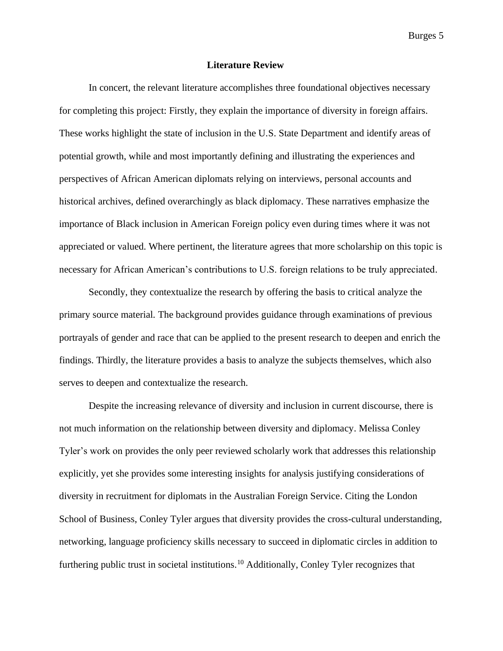#### **Literature Review**

In concert, the relevant literature accomplishes three foundational objectives necessary for completing this project: Firstly, they explain the importance of diversity in foreign affairs. These works highlight the state of inclusion in the U.S. State Department and identify areas of potential growth, while and most importantly defining and illustrating the experiences and perspectives of African American diplomats relying on interviews, personal accounts and historical archives, defined overarchingly as black diplomacy. These narratives emphasize the importance of Black inclusion in American Foreign policy even during times where it was not appreciated or valued. Where pertinent, the literature agrees that more scholarship on this topic is necessary for African American's contributions to U.S. foreign relations to be truly appreciated.

Secondly, they contextualize the research by offering the basis to critical analyze the primary source material. The background provides guidance through examinations of previous portrayals of gender and race that can be applied to the present research to deepen and enrich the findings. Thirdly, the literature provides a basis to analyze the subjects themselves, which also serves to deepen and contextualize the research.

Despite the increasing relevance of diversity and inclusion in current discourse, there is not much information on the relationship between diversity and diplomacy. Melissa Conley Tyler's work on provides the only peer reviewed scholarly work that addresses this relationship explicitly, yet she provides some interesting insights for analysis justifying considerations of diversity in recruitment for diplomats in the Australian Foreign Service. Citing the London School of Business, Conley Tyler argues that diversity provides the cross-cultural understanding, networking, language proficiency skills necessary to succeed in diplomatic circles in addition to furthering public trust in societal institutions.<sup>10</sup> Additionally, Conley Tyler recognizes that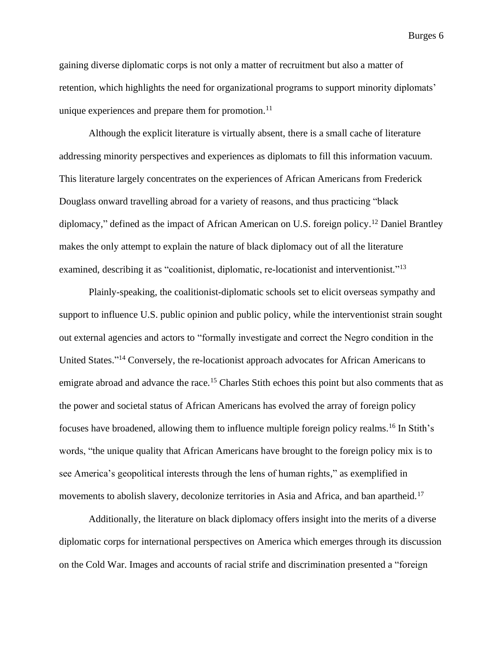gaining diverse diplomatic corps is not only a matter of recruitment but also a matter of retention, which highlights the need for organizational programs to support minority diplomats' unique experiences and prepare them for promotion. $11$ 

Although the explicit literature is virtually absent, there is a small cache of literature addressing minority perspectives and experiences as diplomats to fill this information vacuum. This literature largely concentrates on the experiences of African Americans from Frederick Douglass onward travelling abroad for a variety of reasons, and thus practicing "black diplomacy," defined as the impact of African American on U.S. foreign policy. <sup>12</sup> Daniel Brantley makes the only attempt to explain the nature of black diplomacy out of all the literature examined, describing it as "coalitionist, diplomatic, re-locationist and interventionist."<sup>13</sup>

Plainly-speaking, the coalitionist-diplomatic schools set to elicit overseas sympathy and support to influence U.S. public opinion and public policy, while the interventionist strain sought out external agencies and actors to "formally investigate and correct the Negro condition in the United States."<sup>14</sup> Conversely, the re-locationist approach advocates for African Americans to emigrate abroad and advance the race.<sup>15</sup> Charles Stith echoes this point but also comments that as the power and societal status of African Americans has evolved the array of foreign policy focuses have broadened, allowing them to influence multiple foreign policy realms.<sup>16</sup> In Stith's words, "the unique quality that African Americans have brought to the foreign policy mix is to see America's geopolitical interests through the lens of human rights," as exemplified in movements to abolish slavery, decolonize territories in Asia and Africa, and ban apartheid.<sup>17</sup>

Additionally, the literature on black diplomacy offers insight into the merits of a diverse diplomatic corps for international perspectives on America which emerges through its discussion on the Cold War. Images and accounts of racial strife and discrimination presented a "foreign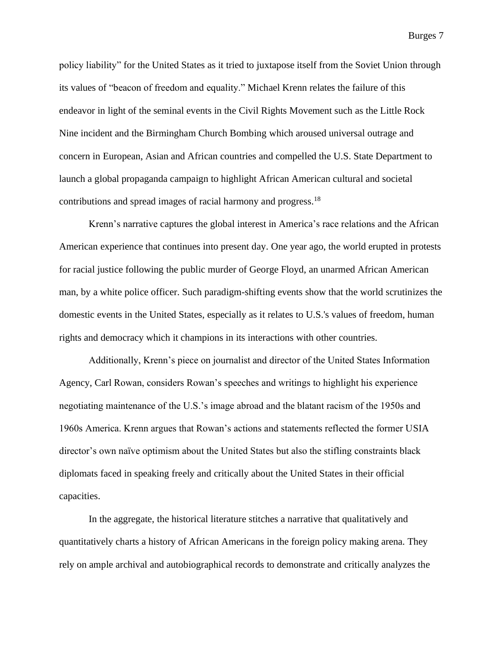policy liability" for the United States as it tried to juxtapose itself from the Soviet Union through its values of "beacon of freedom and equality." Michael Krenn relates the failure of this endeavor in light of the seminal events in the Civil Rights Movement such as the Little Rock Nine incident and the Birmingham Church Bombing which aroused universal outrage and concern in European, Asian and African countries and compelled the U.S. State Department to launch a global propaganda campaign to highlight African American cultural and societal contributions and spread images of racial harmony and progress.<sup>18</sup>

Krenn's narrative captures the global interest in America's race relations and the African American experience that continues into present day. One year ago, the world erupted in protests for racial justice following the public murder of George Floyd, an unarmed African American man, by a white police officer. Such paradigm-shifting events show that the world scrutinizes the domestic events in the United States, especially as it relates to U.S.'s values of freedom, human rights and democracy which it champions in its interactions with other countries.

Additionally, Krenn's piece on journalist and director of the United States Information Agency, Carl Rowan, considers Rowan's speeches and writings to highlight his experience negotiating maintenance of the U.S.'s image abroad and the blatant racism of the 1950s and 1960s America. Krenn argues that Rowan's actions and statements reflected the former USIA director's own naïve optimism about the United States but also the stifling constraints black diplomats faced in speaking freely and critically about the United States in their official capacities.

In the aggregate, the historical literature stitches a narrative that qualitatively and quantitatively charts a history of African Americans in the foreign policy making arena. They rely on ample archival and autobiographical records to demonstrate and critically analyzes the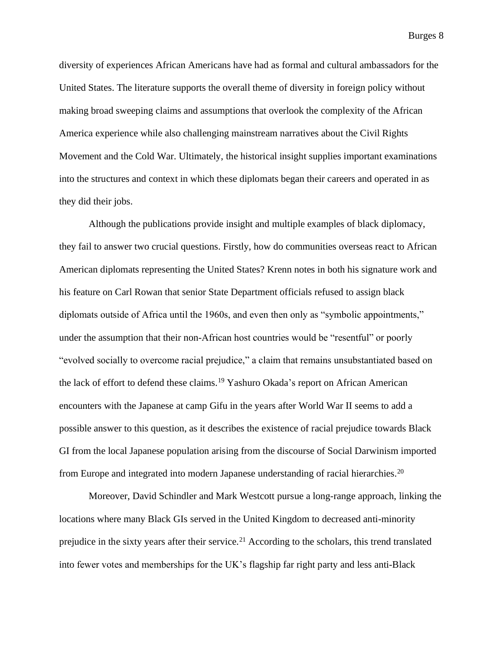diversity of experiences African Americans have had as formal and cultural ambassadors for the United States. The literature supports the overall theme of diversity in foreign policy without making broad sweeping claims and assumptions that overlook the complexity of the African America experience while also challenging mainstream narratives about the Civil Rights Movement and the Cold War. Ultimately, the historical insight supplies important examinations into the structures and context in which these diplomats began their careers and operated in as they did their jobs.

Although the publications provide insight and multiple examples of black diplomacy, they fail to answer two crucial questions. Firstly, how do communities overseas react to African American diplomats representing the United States? Krenn notes in both his signature work and his feature on Carl Rowan that senior State Department officials refused to assign black diplomats outside of Africa until the 1960s, and even then only as "symbolic appointments," under the assumption that their non-African host countries would be "resentful" or poorly "evolved socially to overcome racial prejudice," a claim that remains unsubstantiated based on the lack of effort to defend these claims.<sup>19</sup> Yashuro Okada's report on African American encounters with the Japanese at camp Gifu in the years after World War II seems to add a possible answer to this question, as it describes the existence of racial prejudice towards Black GI from the local Japanese population arising from the discourse of Social Darwinism imported from Europe and integrated into modern Japanese understanding of racial hierarchies.<sup>20</sup>

Moreover, David Schindler and Mark Westcott pursue a long-range approach, linking the locations where many Black GIs served in the United Kingdom to decreased anti-minority prejudice in the sixty years after their service.<sup>21</sup> According to the scholars, this trend translated into fewer votes and memberships for the UK's flagship far right party and less anti-Black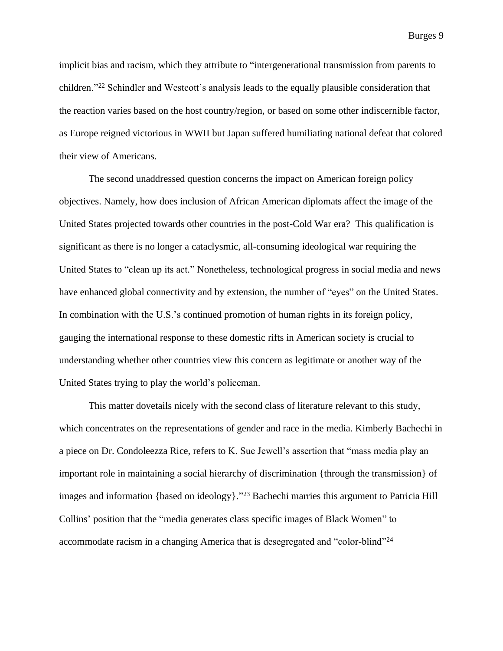implicit bias and racism, which they attribute to "intergenerational transmission from parents to children."<sup>22</sup> Schindler and Westcott's analysis leads to the equally plausible consideration that the reaction varies based on the host country/region, or based on some other indiscernible factor, as Europe reigned victorious in WWII but Japan suffered humiliating national defeat that colored their view of Americans.

The second unaddressed question concerns the impact on American foreign policy objectives. Namely, how does inclusion of African American diplomats affect the image of the United States projected towards other countries in the post-Cold War era? This qualification is significant as there is no longer a cataclysmic, all-consuming ideological war requiring the United States to "clean up its act." Nonetheless, technological progress in social media and news have enhanced global connectivity and by extension, the number of "eyes" on the United States. In combination with the U.S.'s continued promotion of human rights in its foreign policy, gauging the international response to these domestic rifts in American society is crucial to understanding whether other countries view this concern as legitimate or another way of the United States trying to play the world's policeman.

This matter dovetails nicely with the second class of literature relevant to this study, which concentrates on the representations of gender and race in the media. Kimberly Bachechi in a piece on Dr. Condoleezza Rice, refers to K. Sue Jewell's assertion that "mass media play an important role in maintaining a social hierarchy of discrimination {through the transmission} of images and information {based on ideology}." <sup>23</sup> Bachechi marries this argument to Patricia Hill Collins' position that the "media generates class specific images of Black Women" to accommodate racism in a changing America that is desegregated and "color-blind"<sup>24</sup>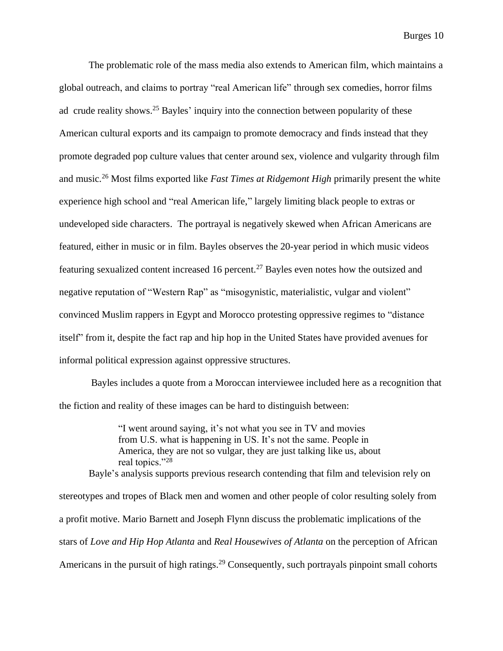The problematic role of the mass media also extends to American film, which maintains a global outreach, and claims to portray "real American life" through sex comedies, horror films ad crude reality shows.<sup>25</sup> Bayles' inquiry into the connection between popularity of these American cultural exports and its campaign to promote democracy and finds instead that they promote degraded pop culture values that center around sex, violence and vulgarity through film and music.<sup>26</sup> Most films exported like *Fast Times at Ridgemont High* primarily present the white experience high school and "real American life," largely limiting black people to extras or undeveloped side characters. The portrayal is negatively skewed when African Americans are featured, either in music or in film. Bayles observes the 20-year period in which music videos featuring sexualized content increased 16 percent.<sup>27</sup> Bayles even notes how the outsized and negative reputation of "Western Rap" as "misogynistic, materialistic, vulgar and violent" convinced Muslim rappers in Egypt and Morocco protesting oppressive regimes to "distance itself" from it, despite the fact rap and hip hop in the United States have provided avenues for informal political expression against oppressive structures.

Bayles includes a quote from a Moroccan interviewee included here as a recognition that the fiction and reality of these images can be hard to distinguish between:

> "I went around saying, it's not what you see in TV and movies from U.S. what is happening in US. It's not the same. People in America, they are not so vulgar, they are just talking like us, about real topics."<sup>28</sup>

Bayle's analysis supports previous research contending that film and television rely on stereotypes and tropes of Black men and women and other people of color resulting solely from a profit motive. Mario Barnett and Joseph Flynn discuss the problematic implications of the stars of *Love and Hip Hop Atlanta* and *Real Housewives of Atlanta* on the perception of African Americans in the pursuit of high ratings.<sup>29</sup> Consequently, such portrayals pinpoint small cohorts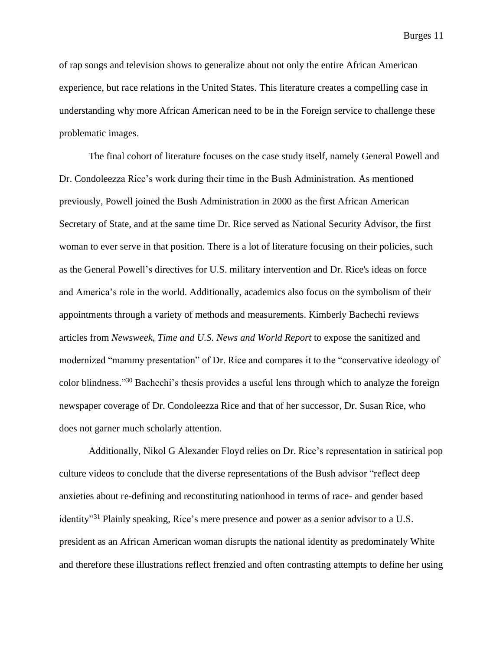of rap songs and television shows to generalize about not only the entire African American experience, but race relations in the United States. This literature creates a compelling case in understanding why more African American need to be in the Foreign service to challenge these problematic images.

The final cohort of literature focuses on the case study itself, namely General Powell and Dr. Condoleezza Rice's work during their time in the Bush Administration. As mentioned previously, Powell joined the Bush Administration in 2000 as the first African American Secretary of State, and at the same time Dr. Rice served as National Security Advisor, the first woman to ever serve in that position. There is a lot of literature focusing on their policies, such as the General Powell's directives for U.S. military intervention and Dr. Rice's ideas on force and America's role in the world. Additionally, academics also focus on the symbolism of their appointments through a variety of methods and measurements. Kimberly Bachechi reviews articles from *Newsweek, Time and U.S. News and World Report* to expose the sanitized and modernized "mammy presentation" of Dr. Rice and compares it to the "conservative ideology of color blindness." <sup>30</sup> Bachechi's thesis provides a useful lens through which to analyze the foreign newspaper coverage of Dr. Condoleezza Rice and that of her successor, Dr. Susan Rice, who does not garner much scholarly attention.

Additionally, Nikol G Alexander Floyd relies on Dr. Rice's representation in satirical pop culture videos to conclude that the diverse representations of the Bush advisor "reflect deep anxieties about re-defining and reconstituting nationhood in terms of race- and gender based identity"<sup>31</sup> Plainly speaking, Rice's mere presence and power as a senior advisor to a U.S. president as an African American woman disrupts the national identity as predominately White and therefore these illustrations reflect frenzied and often contrasting attempts to define her using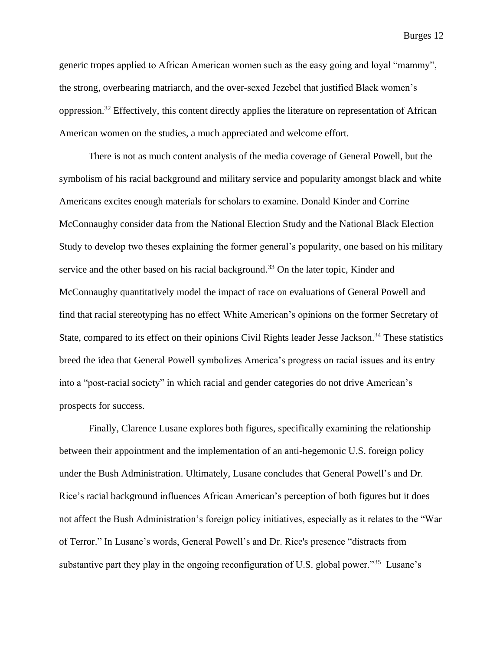generic tropes applied to African American women such as the easy going and loyal "mammy", the strong, overbearing matriarch, and the over-sexed Jezebel that justified Black women's oppression.<sup>32</sup> Effectively, this content directly applies the literature on representation of African American women on the studies, a much appreciated and welcome effort.

There is not as much content analysis of the media coverage of General Powell, but the symbolism of his racial background and military service and popularity amongst black and white Americans excites enough materials for scholars to examine. Donald Kinder and Corrine McConnaughy consider data from the National Election Study and the National Black Election Study to develop two theses explaining the former general's popularity, one based on his military service and the other based on his racial background.<sup>33</sup> On the later topic, Kinder and McConnaughy quantitatively model the impact of race on evaluations of General Powell and find that racial stereotyping has no effect White American's opinions on the former Secretary of State, compared to its effect on their opinions Civil Rights leader Jesse Jackson.<sup>34</sup> These statistics breed the idea that General Powell symbolizes America's progress on racial issues and its entry into a "post-racial society" in which racial and gender categories do not drive American's prospects for success.

Finally, Clarence Lusane explores both figures, specifically examining the relationship between their appointment and the implementation of an anti-hegemonic U.S. foreign policy under the Bush Administration. Ultimately, Lusane concludes that General Powell's and Dr. Rice's racial background influences African American's perception of both figures but it does not affect the Bush Administration's foreign policy initiatives, especially as it relates to the "War of Terror." In Lusane's words, General Powell's and Dr. Rice's presence "distracts from substantive part they play in the ongoing reconfiguration of U.S. global power."<sup>35</sup> Lusane's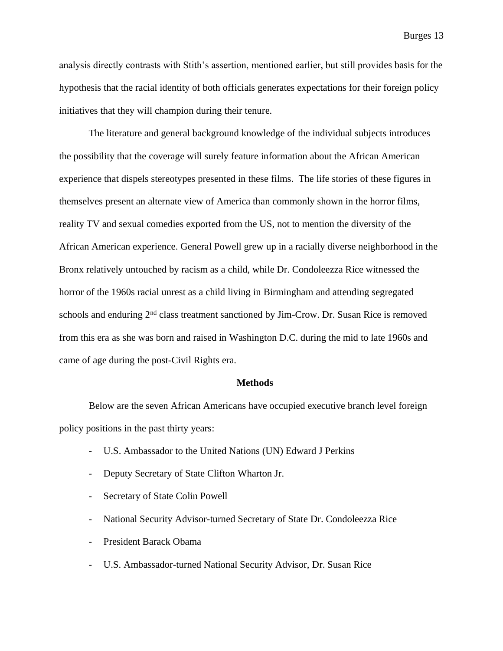analysis directly contrasts with Stith's assertion, mentioned earlier, but still provides basis for the hypothesis that the racial identity of both officials generates expectations for their foreign policy initiatives that they will champion during their tenure.

The literature and general background knowledge of the individual subjects introduces the possibility that the coverage will surely feature information about the African American experience that dispels stereotypes presented in these films. The life stories of these figures in themselves present an alternate view of America than commonly shown in the horror films, reality TV and sexual comedies exported from the US, not to mention the diversity of the African American experience. General Powell grew up in a racially diverse neighborhood in the Bronx relatively untouched by racism as a child, while Dr. Condoleezza Rice witnessed the horror of the 1960s racial unrest as a child living in Birmingham and attending segregated schools and enduring 2<sup>nd</sup> class treatment sanctioned by Jim-Crow. Dr. Susan Rice is removed from this era as she was born and raised in Washington D.C. during the mid to late 1960s and came of age during the post-Civil Rights era.

#### **Methods**

Below are the seven African Americans have occupied executive branch level foreign policy positions in the past thirty years:

- U.S. Ambassador to the United Nations (UN) Edward J Perkins
- Deputy Secretary of State Clifton Wharton Jr.
- Secretary of State Colin Powell
- National Security Advisor-turned Secretary of State Dr. Condoleezza Rice
- President Barack Obama
- U.S. Ambassador-turned National Security Advisor, Dr. Susan Rice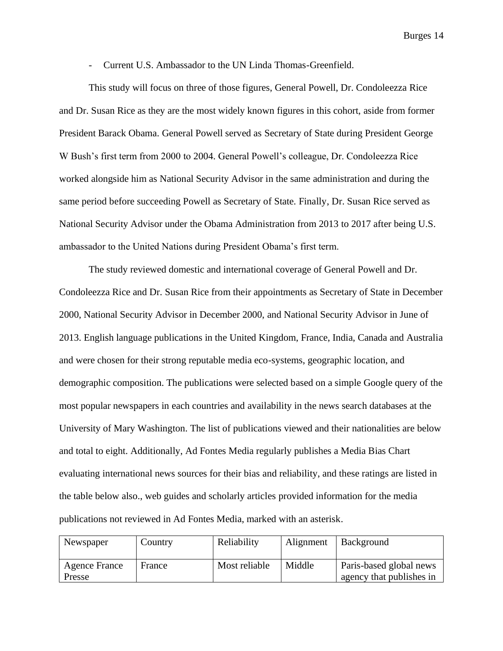- Current U.S. Ambassador to the UN Linda Thomas-Greenfield.

This study will focus on three of those figures, General Powell, Dr. Condoleezza Rice and Dr. Susan Rice as they are the most widely known figures in this cohort, aside from former President Barack Obama. General Powell served as Secretary of State during President George W Bush's first term from 2000 to 2004. General Powell's colleague, Dr. Condoleezza Rice worked alongside him as National Security Advisor in the same administration and during the same period before succeeding Powell as Secretary of State. Finally, Dr. Susan Rice served as National Security Advisor under the Obama Administration from 2013 to 2017 after being U.S. ambassador to the United Nations during President Obama's first term.

The study reviewed domestic and international coverage of General Powell and Dr. Condoleezza Rice and Dr. Susan Rice from their appointments as Secretary of State in December 2000, National Security Advisor in December 2000, and National Security Advisor in June of 2013. English language publications in the United Kingdom, France, India, Canada and Australia and were chosen for their strong reputable media eco-systems, geographic location, and demographic composition. The publications were selected based on a simple Google query of the most popular newspapers in each countries and availability in the news search databases at the University of Mary Washington. The list of publications viewed and their nationalities are below and total to eight. Additionally, Ad Fontes Media regularly publishes a Media Bias Chart evaluating international news sources for their bias and reliability, and these ratings are listed in the table below also., web guides and scholarly articles provided information for the media publications not reviewed in Ad Fontes Media, marked with an asterisk.

| Newspaper               | Country | Reliability   | Alignment | Background                                          |
|-------------------------|---------|---------------|-----------|-----------------------------------------------------|
| Agence France<br>Presse | France  | Most reliable | Middle    | Paris-based global news<br>agency that publishes in |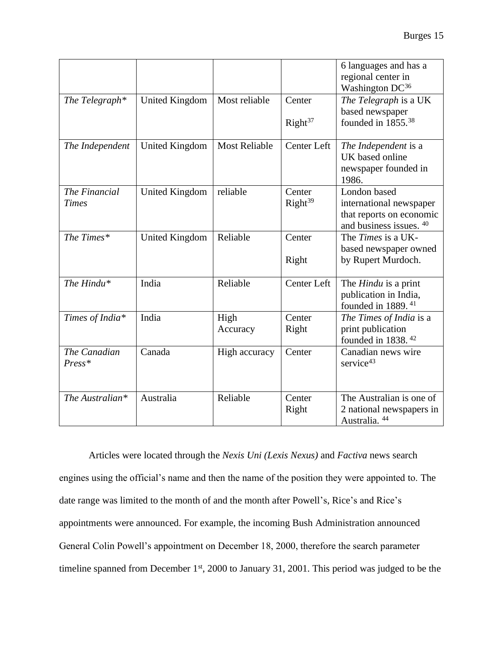|                               |                       |                      |                        | 6 languages and has a<br>regional center in<br>Washington DC <sup>36</sup>                     |
|-------------------------------|-----------------------|----------------------|------------------------|------------------------------------------------------------------------------------------------|
| The Telegraph*                | <b>United Kingdom</b> | Most reliable        | Center                 | The Telegraph is a UK                                                                          |
|                               |                       |                      | Right <sup>37</sup>    | based newspaper<br>founded in 1855. <sup>38</sup>                                              |
| The Independent               | <b>United Kingdom</b> | <b>Most Reliable</b> | Center Left            | The Independent is a<br>UK based online<br>newspaper founded in<br>1986.                       |
| The Financial<br><b>Times</b> | <b>United Kingdom</b> | reliable             | Center<br>$Right^{39}$ | London based<br>international newspaper<br>that reports on economic<br>and business issues. 40 |
| The Times*                    | <b>United Kingdom</b> | Reliable             | Center<br>Right        | The Times is a UK-<br>based newspaper owned<br>by Rupert Murdoch.                              |
| The Hindu*                    | India                 | Reliable             | Center Left            | The <i>Hindu</i> is a print<br>publication in India,<br>founded in 1889. <sup>41</sup>         |
| Times of India*               | India                 | High<br>Accuracy     | Center<br>Right        | The Times of India is a<br>print publication<br>founded in $1838$ . $42$                       |
| The Canadian<br>Press*        | Canada                | High accuracy        | Center                 | Canadian news wire<br>service $43$                                                             |
| The Australian*               | Australia             | Reliable             | Center<br>Right        | The Australian is one of<br>2 national newspapers in<br>Australia. 44                          |

Articles were located through the *Nexis Uni (Lexis Nexus)* and *Factiva* news search engines using the official's name and then the name of the position they were appointed to. The date range was limited to the month of and the month after Powell's, Rice's and Rice's appointments were announced. For example, the incoming Bush Administration announced General Colin Powell's appointment on December 18, 2000, therefore the search parameter timeline spanned from December 1st, 2000 to January 31, 2001. This period was judged to be the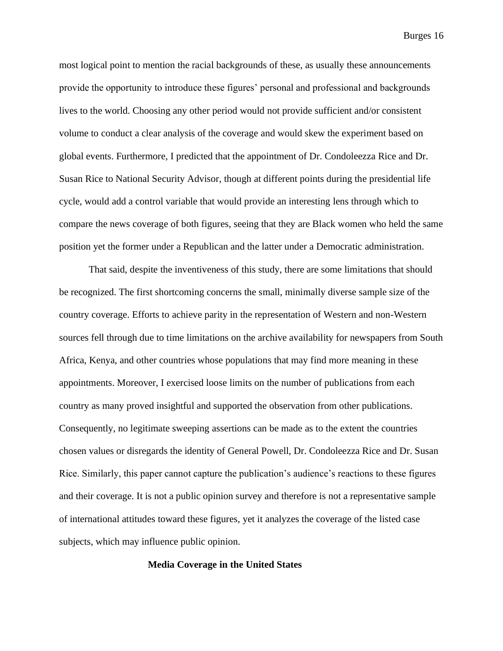most logical point to mention the racial backgrounds of these, as usually these announcements provide the opportunity to introduce these figures' personal and professional and backgrounds lives to the world. Choosing any other period would not provide sufficient and/or consistent volume to conduct a clear analysis of the coverage and would skew the experiment based on global events. Furthermore, I predicted that the appointment of Dr. Condoleezza Rice and Dr. Susan Rice to National Security Advisor, though at different points during the presidential life cycle, would add a control variable that would provide an interesting lens through which to compare the news coverage of both figures, seeing that they are Black women who held the same position yet the former under a Republican and the latter under a Democratic administration.

That said, despite the inventiveness of this study, there are some limitations that should be recognized. The first shortcoming concerns the small, minimally diverse sample size of the country coverage. Efforts to achieve parity in the representation of Western and non-Western sources fell through due to time limitations on the archive availability for newspapers from South Africa, Kenya, and other countries whose populations that may find more meaning in these appointments. Moreover, I exercised loose limits on the number of publications from each country as many proved insightful and supported the observation from other publications. Consequently, no legitimate sweeping assertions can be made as to the extent the countries chosen values or disregards the identity of General Powell, Dr. Condoleezza Rice and Dr. Susan Rice. Similarly, this paper cannot capture the publication's audience's reactions to these figures and their coverage. It is not a public opinion survey and therefore is not a representative sample of international attitudes toward these figures, yet it analyzes the coverage of the listed case subjects, which may influence public opinion.

**Media Coverage in the United States**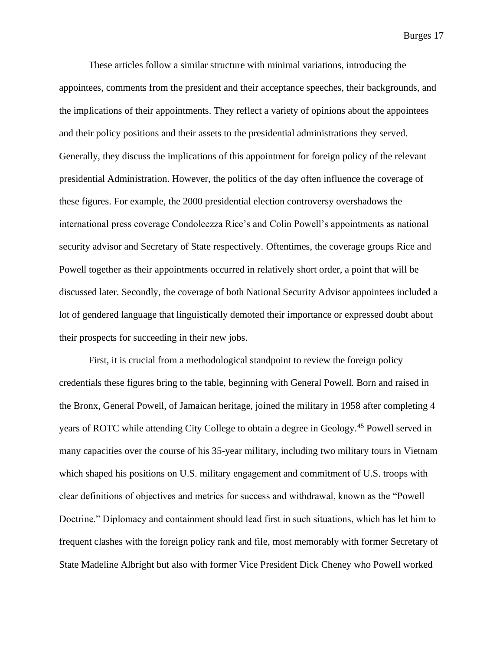These articles follow a similar structure with minimal variations, introducing the appointees, comments from the president and their acceptance speeches, their backgrounds, and the implications of their appointments. They reflect a variety of opinions about the appointees and their policy positions and their assets to the presidential administrations they served. Generally, they discuss the implications of this appointment for foreign policy of the relevant presidential Administration. However, the politics of the day often influence the coverage of these figures. For example, the 2000 presidential election controversy overshadows the international press coverage Condoleezza Rice's and Colin Powell's appointments as national security advisor and Secretary of State respectively. Oftentimes, the coverage groups Rice and Powell together as their appointments occurred in relatively short order, a point that will be discussed later. Secondly, the coverage of both National Security Advisor appointees included a lot of gendered language that linguistically demoted their importance or expressed doubt about their prospects for succeeding in their new jobs.

First, it is crucial from a methodological standpoint to review the foreign policy credentials these figures bring to the table, beginning with General Powell. Born and raised in the Bronx, General Powell, of Jamaican heritage, joined the military in 1958 after completing 4 years of ROTC while attending City College to obtain a degree in Geology.<sup>45</sup> Powell served in many capacities over the course of his 35-year military, including two military tours in Vietnam which shaped his positions on U.S. military engagement and commitment of U.S. troops with clear definitions of objectives and metrics for success and withdrawal, known as the "Powell Doctrine." Diplomacy and containment should lead first in such situations, which has let him to frequent clashes with the foreign policy rank and file, most memorably with former Secretary of State Madeline Albright but also with former Vice President Dick Cheney who Powell worked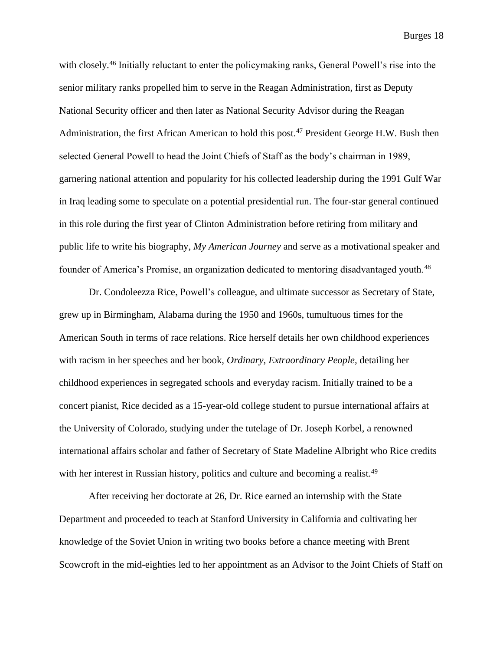with closely.<sup>46</sup> Initially reluctant to enter the policymaking ranks, General Powell's rise into the senior military ranks propelled him to serve in the Reagan Administration, first as Deputy National Security officer and then later as National Security Advisor during the Reagan Administration, the first African American to hold this post.<sup>47</sup> President George H.W. Bush then selected General Powell to head the Joint Chiefs of Staff as the body's chairman in 1989, garnering national attention and popularity for his collected leadership during the 1991 Gulf War in Iraq leading some to speculate on a potential presidential run. The four-star general continued in this role during the first year of Clinton Administration before retiring from military and public life to write his biography, *My American Journey* and serve as a motivational speaker and founder of America's Promise, an organization dedicated to mentoring disadvantaged youth.<sup>48</sup>

Dr. Condoleezza Rice, Powell's colleague, and ultimate successor as Secretary of State, grew up in Birmingham, Alabama during the 1950 and 1960s, tumultuous times for the American South in terms of race relations. Rice herself details her own childhood experiences with racism in her speeches and her book, *Ordinary, Extraordinary People*, detailing her childhood experiences in segregated schools and everyday racism. Initially trained to be a concert pianist, Rice decided as a 15-year-old college student to pursue international affairs at the University of Colorado, studying under the tutelage of Dr. Joseph Korbel, a renowned international affairs scholar and father of Secretary of State Madeline Albright who Rice credits with her interest in Russian history, politics and culture and becoming a realist.<sup>49</sup>

After receiving her doctorate at 26, Dr. Rice earned an internship with the State Department and proceeded to teach at Stanford University in California and cultivating her knowledge of the Soviet Union in writing two books before a chance meeting with Brent Scowcroft in the mid-eighties led to her appointment as an Advisor to the Joint Chiefs of Staff on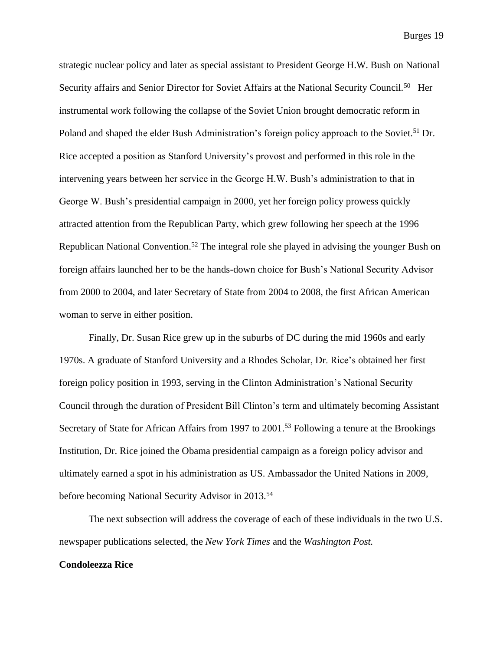strategic nuclear policy and later as special assistant to President George H.W. Bush on National Security affairs and Senior Director for Soviet Affairs at the National Security Council.<sup>50</sup> Her instrumental work following the collapse of the Soviet Union brought democratic reform in Poland and shaped the elder Bush Administration's foreign policy approach to the Soviet.<sup>51</sup> Dr. Rice accepted a position as Stanford University's provost and performed in this role in the intervening years between her service in the George H.W. Bush's administration to that in George W. Bush's presidential campaign in 2000, yet her foreign policy prowess quickly attracted attention from the Republican Party, which grew following her speech at the 1996 Republican National Convention.<sup>52</sup> The integral role she played in advising the younger Bush on foreign affairs launched her to be the hands-down choice for Bush's National Security Advisor from 2000 to 2004, and later Secretary of State from 2004 to 2008, the first African American woman to serve in either position.

Finally, Dr. Susan Rice grew up in the suburbs of DC during the mid 1960s and early 1970s. A graduate of Stanford University and a Rhodes Scholar, Dr. Rice's obtained her first foreign policy position in 1993, serving in the Clinton Administration's National Security Council through the duration of President Bill Clinton's term and ultimately becoming Assistant Secretary of State for African Affairs from 1997 to 2001.<sup>53</sup> Following a tenure at the Brookings Institution, Dr. Rice joined the Obama presidential campaign as a foreign policy advisor and ultimately earned a spot in his administration as US. Ambassador the United Nations in 2009, before becoming National Security Advisor in 2013. 54

The next subsection will address the coverage of each of these individuals in the two U.S. newspaper publications selected, the *New York Times* and the *Washington Post.*

#### **Condoleezza Rice**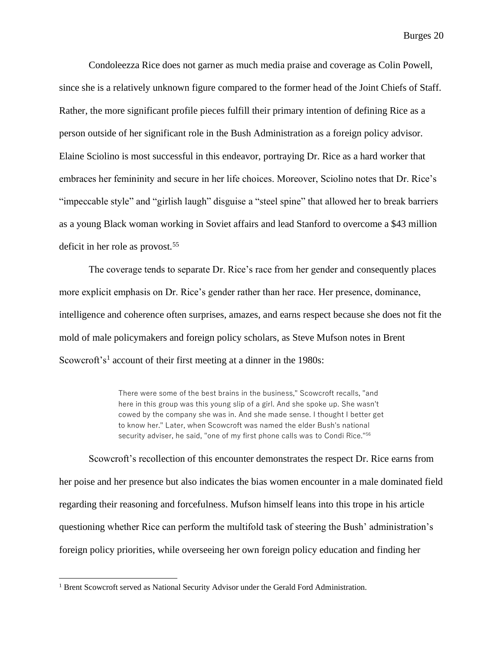Condoleezza Rice does not garner as much media praise and coverage as Colin Powell, since she is a relatively unknown figure compared to the former head of the Joint Chiefs of Staff. Rather, the more significant profile pieces fulfill their primary intention of defining Rice as a person outside of her significant role in the Bush Administration as a foreign policy advisor. Elaine Sciolino is most successful in this endeavor, portraying Dr. Rice as a hard worker that embraces her femininity and secure in her life choices. Moreover, Sciolino notes that Dr. Rice's "impeccable style" and "girlish laugh" disguise a "steel spine" that allowed her to break barriers as a young Black woman working in Soviet affairs and lead Stanford to overcome a \$43 million deficit in her role as provost.<sup>55</sup>

The coverage tends to separate Dr. Rice's race from her gender and consequently places more explicit emphasis on Dr. Rice's gender rather than her race. Her presence, dominance, intelligence and coherence often surprises, amazes, and earns respect because she does not fit the mold of male policymakers and foreign policy scholars, as Steve Mufson notes in Brent Scowcroft's<sup>1</sup> account of their first meeting at a dinner in the 1980s:

> There were some of the best brains in the business," Scowcroft recalls, "and here in this group was this young slip of a girl. And she spoke up. She wasn't cowed by the company she was in. And she made sense. I thought I better get to know her." Later, when Scowcroft was named the elder Bush's national security adviser, he said, "one of my first phone calls was to Condi Rice."<sup>56</sup>

Scowcroft's recollection of this encounter demonstrates the respect Dr. Rice earns from her poise and her presence but also indicates the bias women encounter in a male dominated field regarding their reasoning and forcefulness. Mufson himself leans into this trope in his article questioning whether Rice can perform the multifold task of steering the Bush' administration's foreign policy priorities, while overseeing her own foreign policy education and finding her

<sup>&</sup>lt;sup>1</sup> Brent Scowcroft served as National Security Advisor under the Gerald Ford Administration.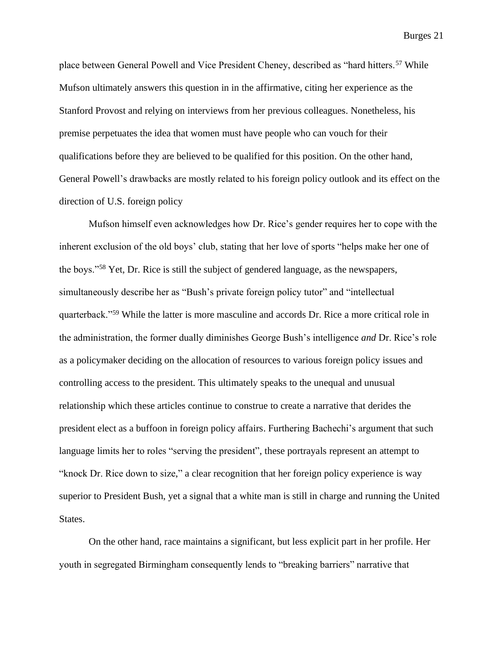place between General Powell and Vice President Cheney, described as "hard hitters.<sup>57</sup> While Mufson ultimately answers this question in in the affirmative, citing her experience as the Stanford Provost and relying on interviews from her previous colleagues. Nonetheless, his premise perpetuates the idea that women must have people who can vouch for their qualifications before they are believed to be qualified for this position. On the other hand, General Powell's drawbacks are mostly related to his foreign policy outlook and its effect on the direction of U.S. foreign policy

Mufson himself even acknowledges how Dr. Rice's gender requires her to cope with the inherent exclusion of the old boys' club, stating that her love of sports "helps make her one of the boys."<sup>58</sup> Yet, Dr. Rice is still the subject of gendered language, as the newspapers, simultaneously describe her as "Bush's private foreign policy tutor" and "intellectual quarterback."<sup>59</sup> While the latter is more masculine and accords Dr. Rice a more critical role in the administration, the former dually diminishes George Bush's intelligence *and* Dr. Rice's role as a policymaker deciding on the allocation of resources to various foreign policy issues and controlling access to the president. This ultimately speaks to the unequal and unusual relationship which these articles continue to construe to create a narrative that derides the president elect as a buffoon in foreign policy affairs. Furthering Bachechi's argument that such language limits her to roles "serving the president", these portrayals represent an attempt to "knock Dr. Rice down to size," a clear recognition that her foreign policy experience is way superior to President Bush, yet a signal that a white man is still in charge and running the United States.

On the other hand, race maintains a significant, but less explicit part in her profile. Her youth in segregated Birmingham consequently lends to "breaking barriers" narrative that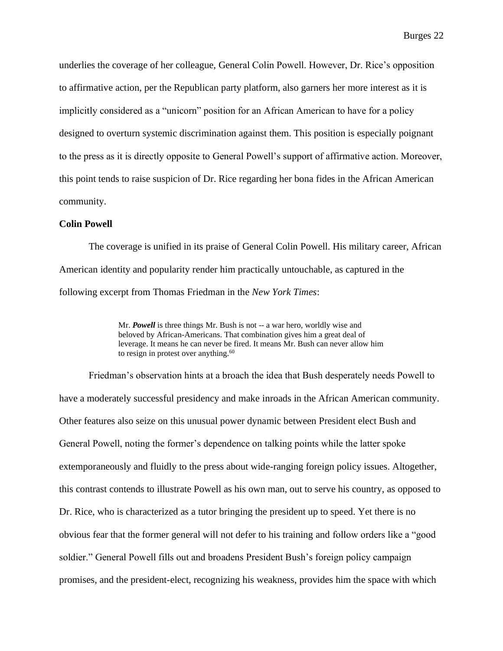underlies the coverage of her colleague, General Colin Powell. However, Dr. Rice's opposition to affirmative action, per the Republican party platform, also garners her more interest as it is implicitly considered as a "unicorn" position for an African American to have for a policy designed to overturn systemic discrimination against them. This position is especially poignant to the press as it is directly opposite to General Powell's support of affirmative action. Moreover, this point tends to raise suspicion of Dr. Rice regarding her bona fides in the African American community.

#### **Colin Powell**

The coverage is unified in its praise of General Colin Powell. His military career, African American identity and popularity render him practically untouchable, as captured in the following excerpt from Thomas Friedman in the *New York Times*:

> Mr. *Powell* is three things Mr. Bush is not -- a war hero, worldly wise and beloved by African-Americans. That combination gives him a great deal of leverage. It means he can never be fired. It means Mr. Bush can never allow him to resign in protest over anything. $60$

Friedman's observation hints at a broach the idea that Bush desperately needs Powell to have a moderately successful presidency and make inroads in the African American community. Other features also seize on this unusual power dynamic between President elect Bush and General Powell, noting the former's dependence on talking points while the latter spoke extemporaneously and fluidly to the press about wide-ranging foreign policy issues. Altogether, this contrast contends to illustrate Powell as his own man, out to serve his country, as opposed to Dr. Rice, who is characterized as a tutor bringing the president up to speed. Yet there is no obvious fear that the former general will not defer to his training and follow orders like a "good soldier." General Powell fills out and broadens President Bush's foreign policy campaign promises, and the president-elect, recognizing his weakness, provides him the space with which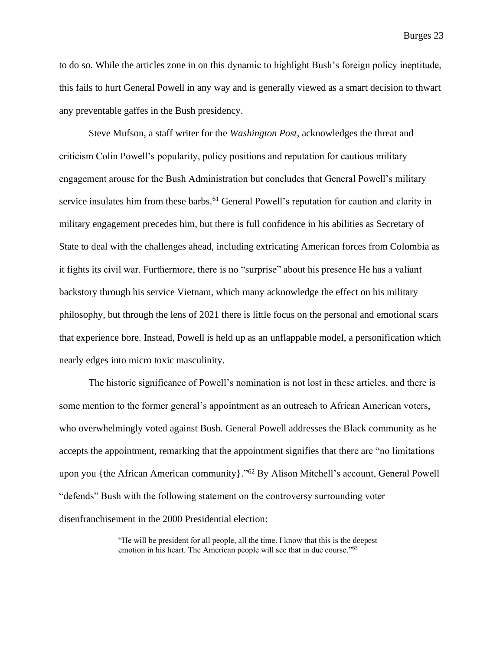to do so. While the articles zone in on this dynamic to highlight Bush's foreign policy ineptitude, this fails to hurt General Powell in any way and is generally viewed as a smart decision to thwart any preventable gaffes in the Bush presidency.

Steve Mufson, a staff writer for the *Washington Post*, acknowledges the threat and criticism Colin Powell's popularity, policy positions and reputation for cautious military engagement arouse for the Bush Administration but concludes that General Powell's military service insulates him from these barbs.<sup>61</sup> General Powell's reputation for caution and clarity in military engagement precedes him, but there is full confidence in his abilities as Secretary of State to deal with the challenges ahead, including extricating American forces from Colombia as it fights its civil war. Furthermore, there is no "surprise" about his presence He has a valiant backstory through his service Vietnam, which many acknowledge the effect on his military philosophy, but through the lens of 2021 there is little focus on the personal and emotional scars that experience bore. Instead, Powell is held up as an unflappable model, a personification which nearly edges into micro toxic masculinity.

The historic significance of Powell's nomination is not lost in these articles, and there is some mention to the former general's appointment as an outreach to African American voters, who overwhelmingly voted against Bush. General Powell addresses the Black community as he accepts the appointment, remarking that the appointment signifies that there are "no limitations upon you {the African American community}." <sup>62</sup> By Alison Mitchell's account, General Powell "defends" Bush with the following statement on the controversy surrounding voter disenfranchisement in the 2000 Presidential election:

> "He will be president for all people, all the time. I know that this is the deepest emotion in his heart. The American people will see that in due course."63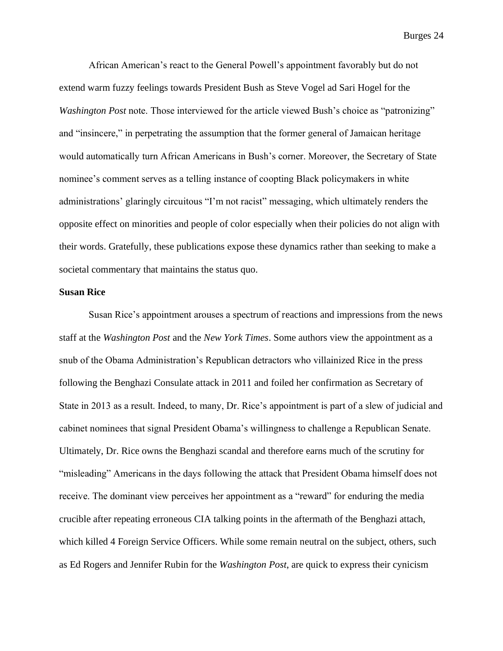African American's react to the General Powell's appointment favorably but do not extend warm fuzzy feelings towards President Bush as Steve Vogel ad Sari Hogel for the *Washington Post* note. Those interviewed for the article viewed Bush's choice as "patronizing" and "insincere," in perpetrating the assumption that the former general of Jamaican heritage would automatically turn African Americans in Bush's corner. Moreover, the Secretary of State nominee's comment serves as a telling instance of coopting Black policymakers in white administrations' glaringly circuitous "I'm not racist" messaging, which ultimately renders the opposite effect on minorities and people of color especially when their policies do not align with their words. Gratefully, these publications expose these dynamics rather than seeking to make a societal commentary that maintains the status quo.

#### **Susan Rice**

Susan Rice's appointment arouses a spectrum of reactions and impressions from the news staff at the *Washington Post* and the *New York Times*. Some authors view the appointment as a snub of the Obama Administration's Republican detractors who villainized Rice in the press following the Benghazi Consulate attack in 2011 and foiled her confirmation as Secretary of State in 2013 as a result. Indeed, to many, Dr. Rice's appointment is part of a slew of judicial and cabinet nominees that signal President Obama's willingness to challenge a Republican Senate. Ultimately, Dr. Rice owns the Benghazi scandal and therefore earns much of the scrutiny for "misleading" Americans in the days following the attack that President Obama himself does not receive. The dominant view perceives her appointment as a "reward" for enduring the media crucible after repeating erroneous CIA talking points in the aftermath of the Benghazi attach, which killed 4 Foreign Service Officers. While some remain neutral on the subject, others, such as Ed Rogers and Jennifer Rubin for the *Washington Post*, are quick to express their cynicism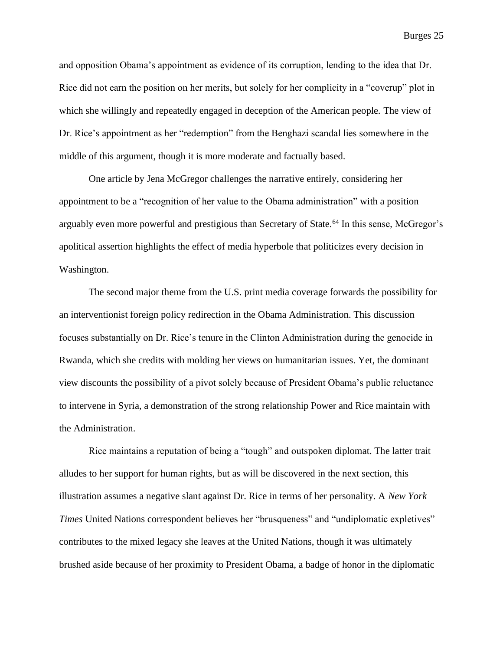and opposition Obama's appointment as evidence of its corruption, lending to the idea that Dr. Rice did not earn the position on her merits, but solely for her complicity in a "coverup" plot in which she willingly and repeatedly engaged in deception of the American people. The view of Dr. Rice's appointment as her "redemption" from the Benghazi scandal lies somewhere in the middle of this argument, though it is more moderate and factually based.

One article by Jena McGregor challenges the narrative entirely, considering her appointment to be a "recognition of her value to the Obama administration" with a position arguably even more powerful and prestigious than Secretary of State.<sup>64</sup> In this sense, McGregor's apolitical assertion highlights the effect of media hyperbole that politicizes every decision in Washington.

The second major theme from the U.S. print media coverage forwards the possibility for an interventionist foreign policy redirection in the Obama Administration. This discussion focuses substantially on Dr. Rice's tenure in the Clinton Administration during the genocide in Rwanda, which she credits with molding her views on humanitarian issues. Yet, the dominant view discounts the possibility of a pivot solely because of President Obama's public reluctance to intervene in Syria, a demonstration of the strong relationship Power and Rice maintain with the Administration.

Rice maintains a reputation of being a "tough" and outspoken diplomat. The latter trait alludes to her support for human rights, but as will be discovered in the next section, this illustration assumes a negative slant against Dr. Rice in terms of her personality. A *New York Times* United Nations correspondent believes her "brusqueness" and "undiplomatic expletives" contributes to the mixed legacy she leaves at the United Nations, though it was ultimately brushed aside because of her proximity to President Obama, a badge of honor in the diplomatic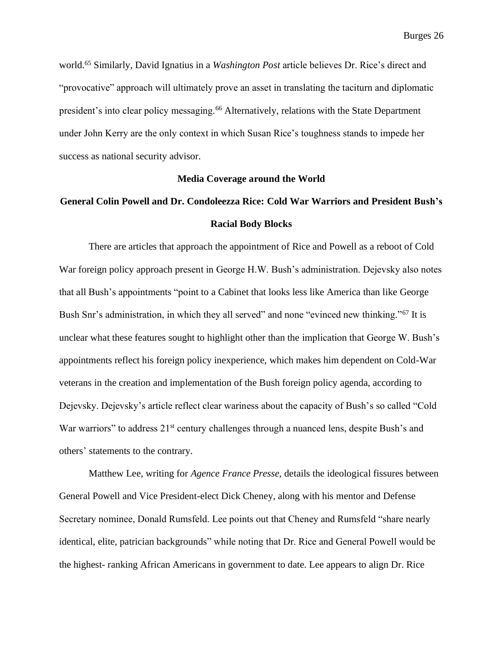world.<sup>65</sup> Similarly, David Ignatius in a *Washington Post* article believes Dr. Rice's direct and "provocative" approach will ultimately prove an asset in translating the taciturn and diplomatic president's into clear policy messaging.<sup>66</sup> Alternatively, relations with the State Department under John Kerry are the only context in which Susan Rice's toughness stands to impede her success as national security advisor.

#### **Media Coverage around the World**

### **General Colin Powell and Dr. Condoleezza Rice: Cold War Warriors and President Bush's Racial Body Blocks**

There are articles that approach the appointment of Rice and Powell as a reboot of Cold War foreign policy approach present in George H.W. Bush's administration. Dejevsky also notes that all Bush's appointments "point to a Cabinet that looks less like America than like George Bush Snr's administration, in which they all served" and none "evinced new thinking."<sup>67</sup> It is unclear what these features sought to highlight other than the implication that George W. Bush's appointments reflect his foreign policy inexperience, which makes him dependent on Cold-War veterans in the creation and implementation of the Bush foreign policy agenda, according to Dejevsky. Dejevsky's article reflect clear wariness about the capacity of Bush's so called "Cold War warriors" to address 21<sup>st</sup> century challenges through a nuanced lens, despite Bush's and others' statements to the contrary.

Matthew Lee, writing for *Agence France Presse,* details the ideological fissures between General Powell and Vice President-elect Dick Cheney, along with his mentor and Defense Secretary nominee, Donald Rumsfeld. Lee points out that Cheney and Rumsfeld "share nearly identical, elite, patrician backgrounds" while noting that Dr. Rice and General Powell would be the highest- ranking African Americans in government to date. Lee appears to align Dr. Rice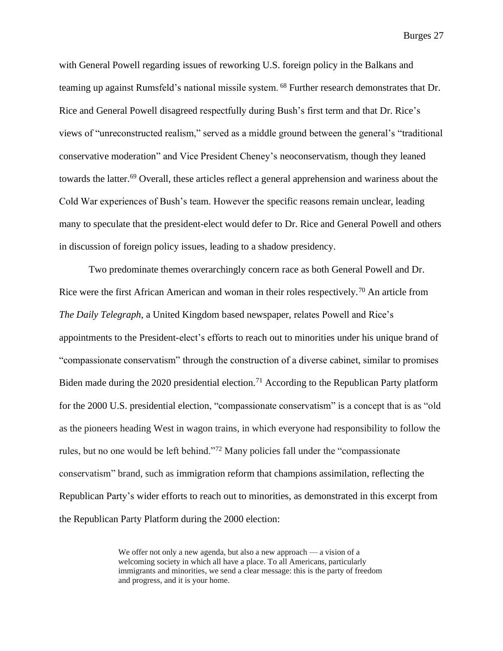with General Powell regarding issues of reworking U.S. foreign policy in the Balkans and teaming up against Rumsfeld's national missile system. <sup>68</sup> Further research demonstrates that Dr. Rice and General Powell disagreed respectfully during Bush's first term and that Dr. Rice's views of "unreconstructed realism," served as a middle ground between the general's "traditional conservative moderation" and Vice President Cheney's neoconservatism, though they leaned towards the latter. <sup>69</sup> Overall, these articles reflect a general apprehension and wariness about the Cold War experiences of Bush's team. However the specific reasons remain unclear, leading many to speculate that the president-elect would defer to Dr. Rice and General Powell and others in discussion of foreign policy issues, leading to a shadow presidency.

Two predominate themes overarchingly concern race as both General Powell and Dr. Rice were the first African American and woman in their roles respectively.<sup>70</sup> An article from *The Daily Telegraph*, a United Kingdom based newspaper, relates Powell and Rice's appointments to the President-elect's efforts to reach out to minorities under his unique brand of "compassionate conservatism" through the construction of a diverse cabinet, similar to promises Biden made during the 2020 presidential election.<sup>71</sup> According to the Republican Party platform for the 2000 U.S. presidential election, "compassionate conservatism" is a concept that is as "old as the pioneers heading West in wagon trains, in which everyone had responsibility to follow the rules, but no one would be left behind."<sup>72</sup> Many policies fall under the "compassionate conservatism" brand, such as immigration reform that champions assimilation, reflecting the Republican Party's wider efforts to reach out to minorities, as demonstrated in this excerpt from the Republican Party Platform during the 2000 election:

> We offer not only a new agenda, but also a new approach — a vision of a welcoming society in which all have a place. To all Americans, particularly immigrants and minorities, we send a clear message: this is the party of freedom and progress, and it is your home.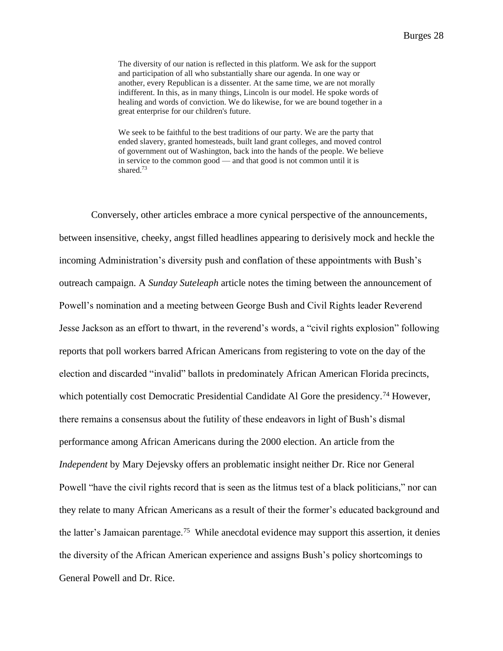The diversity of our nation is reflected in this platform. We ask for the support and participation of all who substantially share our agenda. In one way or another, every Republican is a dissenter. At the same time, we are not morally indifferent. In this, as in many things, Lincoln is our model. He spoke words of healing and words of conviction. We do likewise, for we are bound together in a great enterprise for our children's future.

We seek to be faithful to the best traditions of our party. We are the party that ended slavery, granted homesteads, built land grant colleges, and moved control of government out of Washington, back into the hands of the people. We believe in service to the common good — and that good is not common until it is shared<sup>73</sup>

Conversely, other articles embrace a more cynical perspective of the announcements, between insensitive, cheeky, angst filled headlines appearing to derisively mock and heckle the incoming Administration's diversity push and conflation of these appointments with Bush's outreach campaign. A *Sunday Suteleaph* article notes the timing between the announcement of Powell's nomination and a meeting between George Bush and Civil Rights leader Reverend Jesse Jackson as an effort to thwart, in the reverend's words, a "civil rights explosion" following reports that poll workers barred African Americans from registering to vote on the day of the election and discarded "invalid" ballots in predominately African American Florida precincts, which potentially cost Democratic Presidential Candidate Al Gore the presidency.<sup>74</sup> However, there remains a consensus about the futility of these endeavors in light of Bush's dismal performance among African Americans during the 2000 election. An article from the *Independent* by Mary Dejevsky offers an problematic insight neither Dr. Rice nor General Powell "have the civil rights record that is seen as the litmus test of a black politicians," nor can they relate to many African Americans as a result of their the former's educated background and the latter's Jamaican parentage.<sup>75</sup> While anecdotal evidence may support this assertion, it denies the diversity of the African American experience and assigns Bush's policy shortcomings to General Powell and Dr. Rice.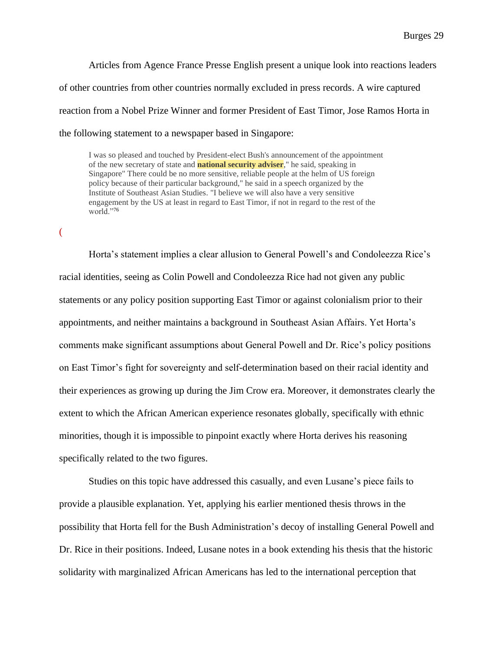Articles from Agence France Presse English present a unique look into reactions leaders of other countries from other countries normally excluded in press records. A wire captured reaction from a Nobel Prize Winner and former President of East Timor, Jose Ramos Horta in the following statement to a newspaper based in Singapore:

I was so pleased and touched by President-elect Bush's announcement of the appointment of the new secretary of state and **national security adviser**," he said, speaking in Singapore" There could be no more sensitive, reliable people at the helm of US foreign policy because of their particular background," he said in a speech organized by the Institute of Southeast Asian Studies. "I believe we will also have a very sensitive engagement by the US at least in regard to East Timor, if not in regard to the rest of the world."76

(

Horta's statement implies a clear allusion to General Powell's and Condoleezza Rice's racial identities, seeing as Colin Powell and Condoleezza Rice had not given any public statements or any policy position supporting East Timor or against colonialism prior to their appointments, and neither maintains a background in Southeast Asian Affairs. Yet Horta's comments make significant assumptions about General Powell and Dr. Rice's policy positions on East Timor's fight for sovereignty and self-determination based on their racial identity and their experiences as growing up during the Jim Crow era. Moreover, it demonstrates clearly the extent to which the African American experience resonates globally, specifically with ethnic minorities, though it is impossible to pinpoint exactly where Horta derives his reasoning specifically related to the two figures.

Studies on this topic have addressed this casually, and even Lusane's piece fails to provide a plausible explanation. Yet, applying his earlier mentioned thesis throws in the possibility that Horta fell for the Bush Administration's decoy of installing General Powell and Dr. Rice in their positions. Indeed, Lusane notes in a book extending his thesis that the historic solidarity with marginalized African Americans has led to the international perception that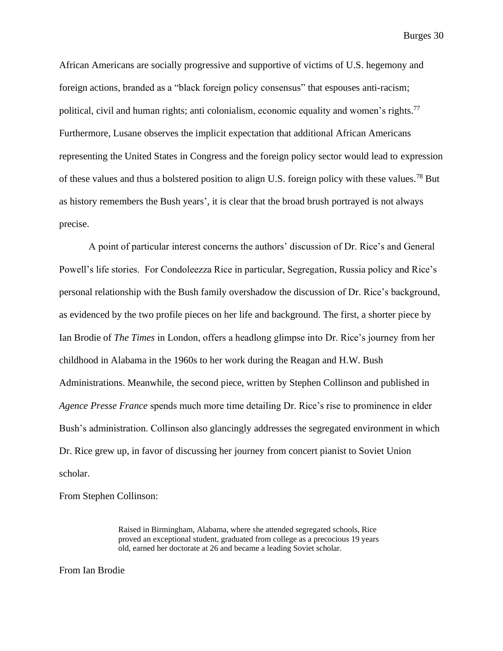African Americans are socially progressive and supportive of victims of U.S. hegemony and foreign actions, branded as a "black foreign policy consensus" that espouses anti-racism; political, civil and human rights; anti colonialism, economic equality and women's rights.<sup>77</sup> Furthermore, Lusane observes the implicit expectation that additional African Americans representing the United States in Congress and the foreign policy sector would lead to expression of these values and thus a bolstered position to align U.S. foreign policy with these values. <sup>78</sup> But as history remembers the Bush years', it is clear that the broad brush portrayed is not always precise.

A point of particular interest concerns the authors' discussion of Dr. Rice's and General Powell's life stories. For Condoleezza Rice in particular, Segregation, Russia policy and Rice's personal relationship with the Bush family overshadow the discussion of Dr. Rice's background, as evidenced by the two profile pieces on her life and background. The first, a shorter piece by Ian Brodie of *The Times* in London, offers a headlong glimpse into Dr. Rice's journey from her childhood in Alabama in the 1960s to her work during the Reagan and H.W. Bush Administrations. Meanwhile, the second piece, written by Stephen Collinson and published in *Agence Presse France* spends much more time detailing Dr. Rice's rise to prominence in elder Bush's administration. Collinson also glancingly addresses the segregated environment in which Dr. Rice grew up, in favor of discussing her journey from concert pianist to Soviet Union scholar.

From Stephen Collinson:

Raised in Birmingham, Alabama, where she attended segregated schools, Rice proved an exceptional student, graduated from college as a precocious 19 years old, earned her doctorate at 26 and became a leading Soviet scholar.

From Ian Brodie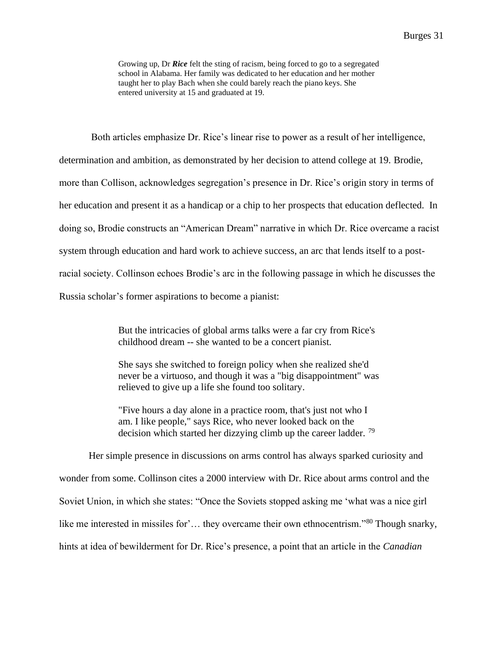Growing up, Dr *Rice* felt the sting of racism, being forced to go to a segregated school in Alabama. Her family was dedicated to her education and her mother taught her to play Bach when she could barely reach the piano keys. She entered university at 15 and graduated at 19.

Both articles emphasize Dr. Rice's linear rise to power as a result of her intelligence, determination and ambition, as demonstrated by her decision to attend college at 19. Brodie, more than Collison, acknowledges segregation's presence in Dr. Rice's origin story in terms of her education and present it as a handicap or a chip to her prospects that education deflected. In doing so, Brodie constructs an "American Dream" narrative in which Dr. Rice overcame a racist system through education and hard work to achieve success, an arc that lends itself to a postracial society. Collinson echoes Brodie's arc in the following passage in which he discusses the Russia scholar's former aspirations to become a pianist:

> But the intricacies of global arms talks were a far cry from Rice's childhood dream -- she wanted to be a concert pianist.

She says she switched to foreign policy when she realized she'd never be a virtuoso, and though it was a "big disappointment" was relieved to give up a life she found too solitary.

"Five hours a day alone in a practice room, that's just not who I am. I like people," says Rice, who never looked back on the decision which started her dizzying climb up the career ladder.  $^{79}$ 

Her simple presence in discussions on arms control has always sparked curiosity and wonder from some. Collinson cites a 2000 interview with Dr. Rice about arms control and the Soviet Union, in which she states: "Once the Soviets stopped asking me 'what was a nice girl like me interested in missiles for'... they overcame their own ethnocentrism."<sup>80</sup> Though snarky, hints at idea of bewilderment for Dr. Rice's presence, a point that an article in the *Canadian*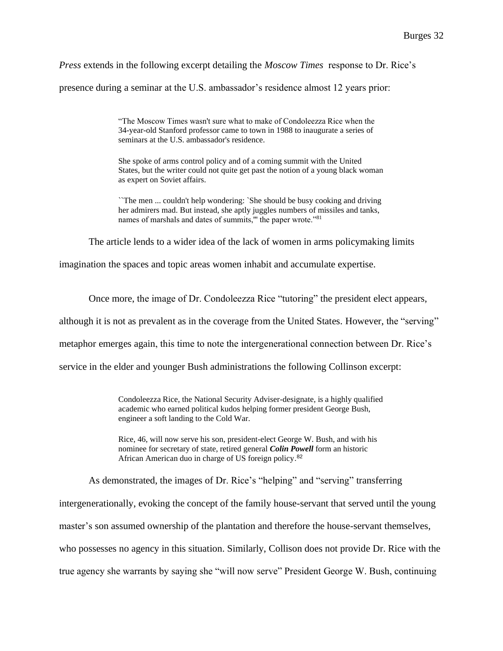*Press* extends in the following excerpt detailing the *Moscow Times* response to Dr. Rice's

presence during a seminar at the U.S. ambassador's residence almost 12 years prior:

"The Moscow Times wasn't sure what to make of Condoleezza Rice when the 34-year-old Stanford professor came to town in 1988 to inaugurate a series of seminars at the U.S. ambassador's residence.

She spoke of arms control policy and of a coming summit with the United States, but the writer could not quite get past the notion of a young black woman as expert on Soviet affairs.

``The men ... couldn't help wondering: `She should be busy cooking and driving her admirers mad. But instead, she aptly juggles numbers of missiles and tanks, names of marshals and dates of summits," the paper wrote."<sup>81</sup>

The article lends to a wider idea of the lack of women in arms policymaking limits

imagination the spaces and topic areas women inhabit and accumulate expertise.

Once more, the image of Dr. Condoleezza Rice "tutoring" the president elect appears,

although it is not as prevalent as in the coverage from the United States. However, the "serving"

metaphor emerges again, this time to note the intergenerational connection between Dr. Rice's

service in the elder and younger Bush administrations the following Collinson excerpt:

Condoleezza Rice, the National Security Adviser-designate, is a highly qualified academic who earned political kudos helping former president George Bush, engineer a soft landing to the Cold War.

Rice, 46, will now serve his son, president-elect George W. Bush, and with his nominee for secretary of state, retired general *Colin Powell* form an historic African American duo in charge of US foreign policy.<sup>82</sup>

As demonstrated, the images of Dr. Rice's "helping" and "serving" transferring intergenerationally, evoking the concept of the family house-servant that served until the young master's son assumed ownership of the plantation and therefore the house-servant themselves, who possesses no agency in this situation. Similarly, Collison does not provide Dr. Rice with the true agency she warrants by saying she "will now serve" President George W. Bush, continuing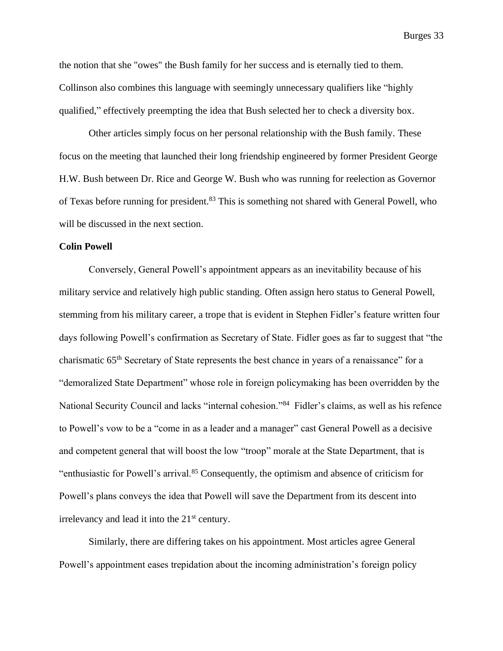the notion that she "owes" the Bush family for her success and is eternally tied to them. Collinson also combines this language with seemingly unnecessary qualifiers like "highly qualified," effectively preempting the idea that Bush selected her to check a diversity box.

Other articles simply focus on her personal relationship with the Bush family. These focus on the meeting that launched their long friendship engineered by former President George H.W. Bush between Dr. Rice and George W. Bush who was running for reelection as Governor of Texas before running for president. <sup>83</sup> This is something not shared with General Powell, who will be discussed in the next section.

#### **Colin Powell**

Conversely, General Powell's appointment appears as an inevitability because of his military service and relatively high public standing. Often assign hero status to General Powell, stemming from his military career, a trope that is evident in Stephen Fidler's feature written four days following Powell's confirmation as Secretary of State. Fidler goes as far to suggest that "the charismatic 65<sup>th</sup> Secretary of State represents the best chance in years of a renaissance" for a "demoralized State Department" whose role in foreign policymaking has been overridden by the National Security Council and lacks "internal cohesion."<sup>84</sup> Fidler's claims, as well as his refence to Powell's vow to be a "come in as a leader and a manager" cast General Powell as a decisive and competent general that will boost the low "troop" morale at the State Department, that is "enthusiastic for Powell's arrival.<sup>85</sup> Consequently, the optimism and absence of criticism for Powell's plans conveys the idea that Powell will save the Department from its descent into irrelevancy and lead it into the  $21<sup>st</sup>$  century.

Similarly, there are differing takes on his appointment. Most articles agree General Powell's appointment eases trepidation about the incoming administration's foreign policy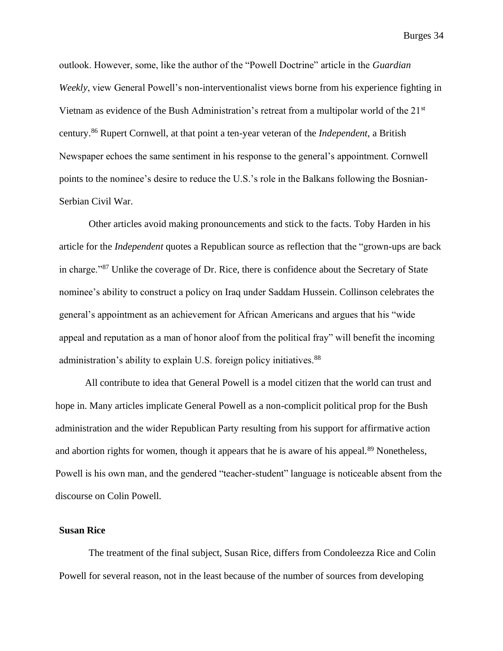outlook. However, some, like the author of the "Powell Doctrine" article in the *Guardian Weekly*, view General Powell's non-interventionalist views borne from his experience fighting in Vietnam as evidence of the Bush Administration's retreat from a multipolar world of the 21st century.<sup>86</sup> Rupert Cornwell, at that point a ten-year veteran of the *Independent,* a British Newspaper echoes the same sentiment in his response to the general's appointment. Cornwell points to the nominee's desire to reduce the U.S.'s role in the Balkans following the Bosnian-Serbian Civil War.

Other articles avoid making pronouncements and stick to the facts. Toby Harden in his article for the *Independent* quotes a Republican source as reflection that the "grown-ups are back in charge."<sup>87</sup> Unlike the coverage of Dr. Rice, there is confidence about the Secretary of State nominee's ability to construct a policy on Iraq under Saddam Hussein. Collinson celebrates the general's appointment as an achievement for African Americans and argues that his "wide appeal and reputation as a man of honor aloof from the political fray" will benefit the incoming administration's ability to explain U.S. foreign policy initiatives.<sup>88</sup>

All contribute to idea that General Powell is a model citizen that the world can trust and hope in. Many articles implicate General Powell as a non-complicit political prop for the Bush administration and the wider Republican Party resulting from his support for affirmative action and abortion rights for women, though it appears that he is aware of his appeal.<sup>89</sup> Nonetheless, Powell is his own man, and the gendered "teacher-student" language is noticeable absent from the discourse on Colin Powell.

#### **Susan Rice**

The treatment of the final subject, Susan Rice, differs from Condoleezza Rice and Colin Powell for several reason, not in the least because of the number of sources from developing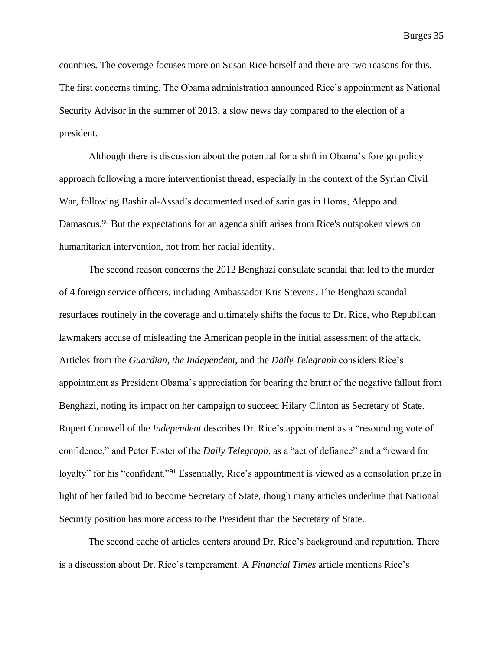countries. The coverage focuses more on Susan Rice herself and there are two reasons for this. The first concerns timing. The Obama administration announced Rice's appointment as National Security Advisor in the summer of 2013, a slow news day compared to the election of a president.

Although there is discussion about the potential for a shift in Obama's foreign policy approach following a more interventionist thread, especially in the context of the Syrian Civil War, following Bashir al-Assad's documented used of sarin gas in Homs, Aleppo and Damascus.<sup>90</sup> But the expectations for an agenda shift arises from Rice's outspoken views on humanitarian intervention, not from her racial identity.

The second reason concerns the 2012 Benghazi consulate scandal that led to the murder of 4 foreign service officers, including Ambassador Kris Stevens. The Benghazi scandal resurfaces routinely in the coverage and ultimately shifts the focus to Dr. Rice, who Republican lawmakers accuse of misleading the American people in the initial assessment of the attack. Articles from the *Guardian, the Independent,* and the *Daily Telegraph* considers Rice's appointment as President Obama's appreciation for bearing the brunt of the negative fallout from Benghazi, noting its impact on her campaign to succeed Hilary Clinton as Secretary of State. Rupert Cornwell of the *Independent* describes Dr. Rice's appointment as a "resounding vote of confidence," and Peter Foster of the *Daily Telegraph*, as a "act of defiance" and a "reward for loyalty" for his "confidant."<sup>91</sup> Essentially, Rice's appointment is viewed as a consolation prize in light of her failed bid to become Secretary of State, though many articles underline that National Security position has more access to the President than the Secretary of State.

The second cache of articles centers around Dr. Rice's background and reputation. There is a discussion about Dr. Rice's temperament. A *Financial Times* article mentions Rice's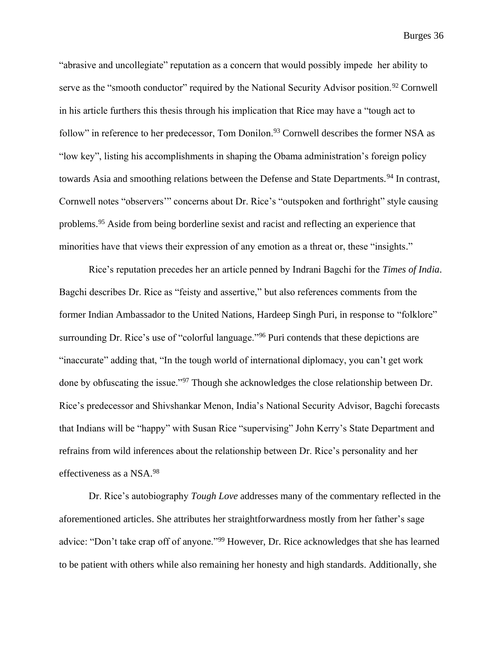"abrasive and uncollegiate" reputation as a concern that would possibly impede her ability to serve as the "smooth conductor" required by the National Security Advisor position.<sup>92</sup> Cornwell in his article furthers this thesis through his implication that Rice may have a "tough act to follow" in reference to her predecessor, Tom Donilon.<sup>93</sup> Cornwell describes the former NSA as "low key", listing his accomplishments in shaping the Obama administration's foreign policy towards Asia and smoothing relations between the Defense and State Departments.<sup>94</sup> In contrast, Cornwell notes "observers'" concerns about Dr. Rice's "outspoken and forthright" style causing problems.<sup>95</sup> Aside from being borderline sexist and racist and reflecting an experience that minorities have that views their expression of any emotion as a threat or, these "insights."

Rice's reputation precedes her an article penned by Indrani Bagchi for the *Times of India*. Bagchi describes Dr. Rice as "feisty and assertive," but also references comments from the former Indian Ambassador to the United Nations, Hardeep Singh Puri, in response to "folklore" surrounding Dr. Rice's use of "colorful language."<sup>96</sup> Puri contends that these depictions are "inaccurate" adding that, "In the tough world of international diplomacy, you can't get work done by obfuscating the issue."<sup>97</sup> Though she acknowledges the close relationship between Dr. Rice's predecessor and Shivshankar Menon, India's National Security Advisor, Bagchi forecasts that Indians will be "happy" with Susan Rice "supervising" John Kerry's State Department and refrains from wild inferences about the relationship between Dr. Rice's personality and her effectiveness as a NSA.<sup>98</sup>

Dr. Rice's autobiography *Tough Love* addresses many of the commentary reflected in the aforementioned articles. She attributes her straightforwardness mostly from her father's sage advice: "Don't take crap off of anyone."<sup>99</sup> However, Dr. Rice acknowledges that she has learned to be patient with others while also remaining her honesty and high standards. Additionally, she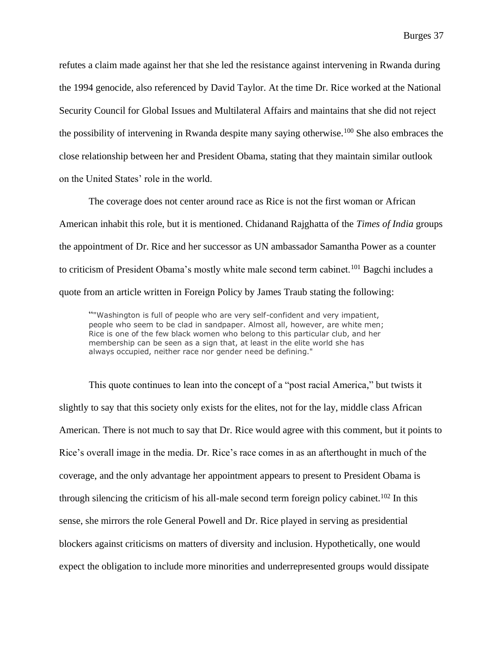refutes a claim made against her that she led the resistance against intervening in Rwanda during the 1994 genocide, also referenced by David Taylor. At the time Dr. Rice worked at the National Security Council for Global Issues and Multilateral Affairs and maintains that she did not reject the possibility of intervening in Rwanda despite many saying otherwise.<sup>100</sup> She also embraces the close relationship between her and President Obama, stating that they maintain similar outlook on the United States' role in the world.

The coverage does not center around race as Rice is not the first woman or African American inhabit this role, but it is mentioned. Chidanand Rajghatta of the *Times of India* groups the appointment of Dr. Rice and her successor as UN ambassador Samantha Power as a counter to criticism of President Obama's mostly white male second term cabinet.<sup>101</sup> Bagchi includes a quote from an article written in Foreign Policy by James Traub stating the following:

""Washington is full of people who are very self-confident and very impatient, people who seem to be clad in sandpaper. Almost all, however, are white men; Rice is one of the few black women who belong to this particular club, and her membership can be seen as a sign that, at least in the elite world she has always occupied, neither race nor gender need be defining."

This quote continues to lean into the concept of a "post racial America," but twists it slightly to say that this society only exists for the elites, not for the lay, middle class African American. There is not much to say that Dr. Rice would agree with this comment, but it points to Rice's overall image in the media. Dr. Rice's race comes in as an afterthought in much of the coverage, and the only advantage her appointment appears to present to President Obama is through silencing the criticism of his all-male second term foreign policy cabinet. <sup>102</sup> In this sense, she mirrors the role General Powell and Dr. Rice played in serving as presidential blockers against criticisms on matters of diversity and inclusion. Hypothetically, one would expect the obligation to include more minorities and underrepresented groups would dissipate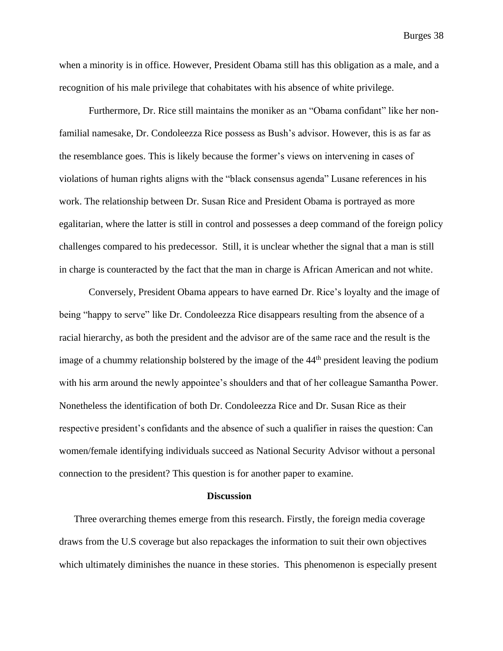when a minority is in office. However, President Obama still has this obligation as a male, and a recognition of his male privilege that cohabitates with his absence of white privilege.

Furthermore, Dr. Rice still maintains the moniker as an "Obama confidant" like her nonfamilial namesake, Dr. Condoleezza Rice possess as Bush's advisor. However, this is as far as the resemblance goes. This is likely because the former's views on intervening in cases of violations of human rights aligns with the "black consensus agenda" Lusane references in his work. The relationship between Dr. Susan Rice and President Obama is portrayed as more egalitarian, where the latter is still in control and possesses a deep command of the foreign policy challenges compared to his predecessor. Still, it is unclear whether the signal that a man is still in charge is counteracted by the fact that the man in charge is African American and not white.

Conversely, President Obama appears to have earned Dr. Rice's loyalty and the image of being "happy to serve" like Dr. Condoleezza Rice disappears resulting from the absence of a racial hierarchy, as both the president and the advisor are of the same race and the result is the image of a chummy relationship bolstered by the image of the 44<sup>th</sup> president leaving the podium with his arm around the newly appointee's shoulders and that of her colleague Samantha Power. Nonetheless the identification of both Dr. Condoleezza Rice and Dr. Susan Rice as their respective president's confidants and the absence of such a qualifier in raises the question: Can women/female identifying individuals succeed as National Security Advisor without a personal connection to the president? This question is for another paper to examine.

#### **Discussion**

Three overarching themes emerge from this research. Firstly, the foreign media coverage draws from the U.S coverage but also repackages the information to suit their own objectives which ultimately diminishes the nuance in these stories. This phenomenon is especially present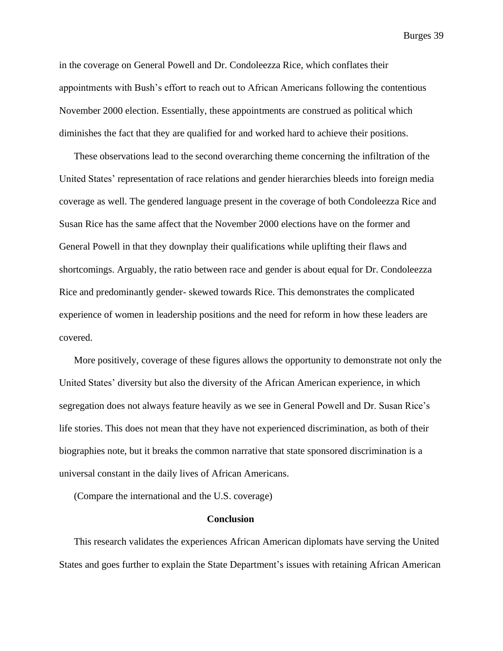in the coverage on General Powell and Dr. Condoleezza Rice, which conflates their appointments with Bush's effort to reach out to African Americans following the contentious November 2000 election. Essentially, these appointments are construed as political which diminishes the fact that they are qualified for and worked hard to achieve their positions.

These observations lead to the second overarching theme concerning the infiltration of the United States' representation of race relations and gender hierarchies bleeds into foreign media coverage as well. The gendered language present in the coverage of both Condoleezza Rice and Susan Rice has the same affect that the November 2000 elections have on the former and General Powell in that they downplay their qualifications while uplifting their flaws and shortcomings. Arguably, the ratio between race and gender is about equal for Dr. Condoleezza Rice and predominantly gender- skewed towards Rice. This demonstrates the complicated experience of women in leadership positions and the need for reform in how these leaders are covered.

More positively, coverage of these figures allows the opportunity to demonstrate not only the United States' diversity but also the diversity of the African American experience, in which segregation does not always feature heavily as we see in General Powell and Dr. Susan Rice's life stories. This does not mean that they have not experienced discrimination, as both of their biographies note, but it breaks the common narrative that state sponsored discrimination is a universal constant in the daily lives of African Americans.

(Compare the international and the U.S. coverage)

#### **Conclusion**

This research validates the experiences African American diplomats have serving the United States and goes further to explain the State Department's issues with retaining African American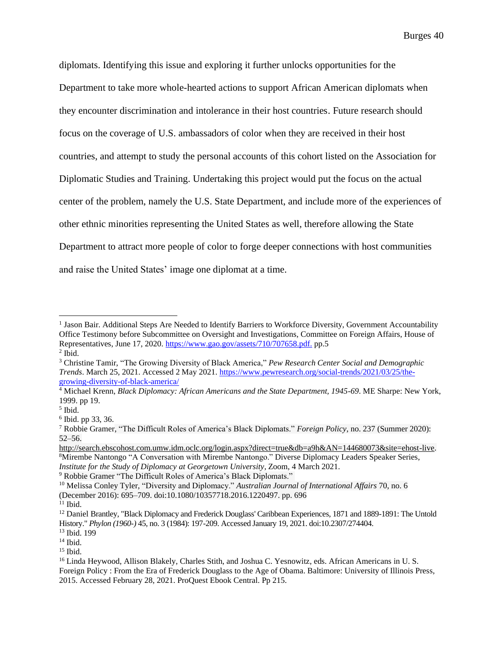diplomats. Identifying this issue and exploring it further unlocks opportunities for the Department to take more whole-hearted actions to support African American diplomats when they encounter discrimination and intolerance in their host countries. Future research should focus on the coverage of U.S. ambassadors of color when they are received in their host countries, and attempt to study the personal accounts of this cohort listed on the Association for Diplomatic Studies and Training. Undertaking this project would put the focus on the actual center of the problem, namely the U.S. State Department, and include more of the experiences of other ethnic minorities representing the United States as well, therefore allowing the State Department to attract more people of color to forge deeper connections with host communities and raise the United States' image one diplomat at a time.

<sup>&</sup>lt;sup>1</sup> Jason Bair. Additional Steps Are Needed to Identify Barriers to Workforce Diversity, Government Accountability Office Testimony before Subcommittee on Oversight and Investigations, Committee on Foreign Affairs, House of Representatives, June 17, 2020. [https://www.gao.gov/assets/710/707658.pdf.](https://www.gao.gov/assets/710/707658.pdf) pp.5  $<sup>2</sup>$  Ibid.</sup>

<sup>3</sup> Christine Tamir, "The Growing Diversity of Black America," *Pew Research Center Social and Demographic Trends*. March 25, 2021. Accessed 2 May 2021. [https://www.pewresearch.org/social-trends/2021/03/25/the](https://www.pewresearch.org/social-trends/2021/03/25/the-growing-diversity-of-black-america/)[growing-diversity-of-black-america/](https://www.pewresearch.org/social-trends/2021/03/25/the-growing-diversity-of-black-america/)

<sup>4</sup> Michael Krenn, *Black Diplomacy: African Americans and the State Department, 1945-69*. ME Sharpe: New York, 1999. pp 19.

<sup>5</sup> Ibid.

<sup>6</sup> Ibid. pp 33, 36.

<sup>7</sup> Robbie Gramer, "The Difficult Roles of America's Black Diplomats." *Foreign Policy*, no. 237 (Summer 2020): 52–56.

[http://search.ebscohost.com.umw.idm.oclc.org/login.aspx?direct=true&db=a9h&AN=144680073&site=ehost-live.](http://search.ebscohost.com.umw.idm.oclc.org/login.aspx?direct=true&db=a9h&AN=144680073&site=ehost-live) <sup>8</sup>Mirembe Nantongo "A Conversation with Mirembe Nantongo." Diverse Diplomacy Leaders Speaker Series, *Institute for the Study of Diplomacy at Georgetown University,* Zoom, 4 March 2021.

<sup>9</sup> Robbie Gramer "The Difficult Roles of America's Black Diplomats."

<sup>10</sup> Melissa Conley Tyler, "Diversity and Diplomacy." *Australian Journal of International Affairs* 70, no. 6 (December 2016): 695–709. doi:10.1080/10357718.2016.1220497. pp. 696

 $11$  Ibid.

<sup>&</sup>lt;sup>12</sup> Daniel Brantley, "Black Diplomacy and Frederick Douglass' Caribbean Experiences, 1871 and 1889-1891: The Untold History." *Phylon (1960-)* 45, no. 3 (1984): 197-209. Accessed January 19, 2021. doi:10.2307/274404.

<sup>13</sup> Ibid. 199

 $14$  Ibid.

<sup>15</sup> Ibid.

<sup>&</sup>lt;sup>16</sup> Linda Heywood, Allison Blakely, Charles Stith, and Joshua C. Yesnowitz, eds. African Americans in U. S. Foreign Policy : From the Era of Frederick Douglass to the Age of Obama. Baltimore: University of Illinois Press, 2015. Accessed February 28, 2021. ProQuest Ebook Central. Pp 215.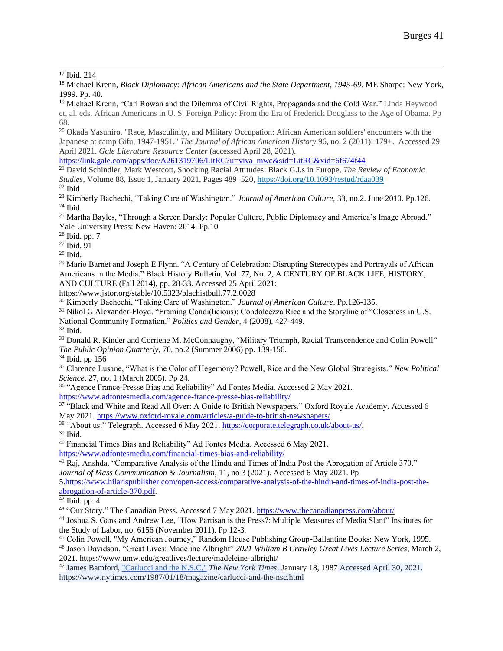<sup>17</sup> Ibid. 214

<sup>18</sup> Michael Krenn, *Black Diplomacy: African Americans and the State Department, 1945-69*. ME Sharpe: New York, 1999. Pp. 40.

<sup>19</sup> Michael Krenn, "Carl Rowan and the Dilemma of Civil Rights, Propaganda and the Cold War." Linda Heywood et, al. eds. African Americans in U. S. Foreign Policy: From the Era of Frederick Douglass to the Age of Obama. Pp 68.

<sup>20</sup> Okada Yasuhiro. "Race, Masculinity, and Military Occupation: African American soldiers' encounters with the Japanese at camp Gifu, 1947-1951." *The Journal of African American History* 96, no. 2 (2011): 179+. Accessed 29 April 2021. *Gale Literature Resource Center* (accessed April 28, 2021).

[https://link.gale.com/apps/doc/A261319706/LitRC?u=viva\\_mwc&sid=LitRC&xid=6f674f44](https://link.gale.com/apps/doc/A261319706/LitRC?u=viva_mwc&sid=LitRC&xid=6f674f44)

<sup>21</sup> David Schindler, Mark Westcott, Shocking Racial Attitudes: Black G.I.s in Europe, *The Review of Economic Studies*, Volume 88, Issue 1, January 2021, Pages 489–520, <https://doi.org/10.1093/restud/rdaa039>  $22$  Ibid

<sup>23</sup> Kimberly Bachechi, "Taking Care of Washington." *Journal of American Culture,* 33, no.2. June 2010. Pp.126.  $24$  Ibid.

<sup>25</sup> Martha Bayles, "Through a Screen Darkly: Popular Culture, Public Diplomacy and America's Image Abroad." Yale University Press: New Haven: 2014. Pp.10

 $26$  Ibid. pp.  $7$ 

 $27$  Ibid.  $91$ 

<sup>28</sup> Ibid.

<sup>29</sup> Mario Barnet and Joseph E Flynn. "A Century of Celebration: Disrupting Stereotypes and Portrayals of African Americans in the Media." Black History Bulletin, Vol. 77, No. 2, A CENTURY OF BLACK LIFE, HISTORY, AND CULTURE (Fall 2014), pp. 28-33. Accessed 25 April 2021:

https://www.jstor.org/stable/10.5323/blachistbull.77.2.0028

<sup>30</sup> Kimberly Bachechi, "Taking Care of Washington." *Journal of American Culture*. Pp.126-135.

<sup>31</sup> Nikol G Alexander-Floyd. "Framing Condi(licious): Condoleezza Rice and the Storyline of "Closeness in U.S. National Community Formation." *Politics and Gender*, 4 (2008), 427-449.

 $32$  Ibid.

<sup>33</sup> Donald R. Kinder and Corriene M. McConnaughy, "Military Triumph, Racial Transcendence and Colin Powell" *The Public Opinion Quarterly*, 70, no.2 (Summer 2006) pp. 139-156.

<sup>34</sup> Ibid. pp 156

<sup>35</sup> Clarence Lusane, "What is the Color of Hegemony? Powell, Rice and the New Global Strategists." *New Political Science*, 27, no. 1 (March 2005). Pp 24.

<sup>36</sup> "Agence France-Presse Bias and Reliability" Ad Fontes Media. Accessed 2 May 2021.

<https://www.adfontesmedia.com/agence-france-presse-bias-reliability/>

<sup>37</sup> "Black and White and Read All Over: A Guide to British Newspapers." Oxford Royale Academy. Accessed 6 May 2021.<https://www.oxford-royale.com/articles/a-guide-to-british-newspapers/>

<sup>38</sup> "About us." Telegraph. Accessed 6 May 2021[. https://corporate.telegraph.co.uk/about-us/.](https://corporate.telegraph.co.uk/about-us/)

<sup>39</sup> Ibid.

<sup>40</sup> Financial Times Bias and Reliability" Ad Fontes Media. Accessed 6 May 2021.

<https://www.adfontesmedia.com/financial-times-bias-and-reliability/>

<sup>41</sup> Raj, Anshda. "Comparative Analysis of the Hindu and Times of India Post the Abrogation of Article 370." *Journal of Mass Communication & Journalism*, 11, no 3 (2021). Accessed 6 May 2021. Pp

[5.https://www.hilarispublisher.com/open-access/comparative-analysis-of-the-hindu-and-times-of-india-post-the](https://www.hilarispublisher.com/open-access/comparative-analysis-of-the-hindu-and-times-of-india-post-the-abrogation-of-article-370.pdf)[abrogation-of-article-370.pdf.](https://www.hilarispublisher.com/open-access/comparative-analysis-of-the-hindu-and-times-of-india-post-the-abrogation-of-article-370.pdf)

 $42$  Ibid. pp. 4

43 "Our Story." The Canadian Press. Accessed 7 May 2021.<https://www.thecanadianpress.com/about/>

<sup>44</sup> Joshua S. Gans and Andrew Lee, "How Partisan is the Press?: Multiple Measures of Media Slant" Institutes for the Study of Labor, no. 6156 (November 2011). Pp 12-3.

<sup>45</sup> Colin Powell, "My American Journey," Random House Publishing Group-Ballantine Books: New York, 1995. <sup>46</sup> Jason Davidson, "Great Lives: Madeline Albright" *2021 William B Crawley Great Lives Lecture Series*, March 2, 2021. https://www.umw.edu/greatlives/lecture/madeleine-albright/

<sup>47</sup> James Bamford[, "Carlucci and the N.S.C."](https://www.nytimes.com/1987/01/18/magazine/carlucci-and-the-nsc.html) *The New York Times*. January 18, 1987 Accessed April 30, 2021. https://www.nytimes.com/1987/01/18/magazine/carlucci-and-the-nsc.html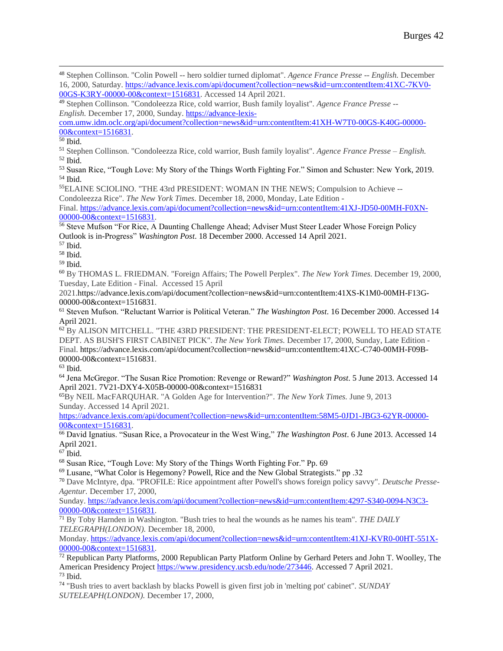[com.umw.idm.oclc.org/api/document?collection=news&id=urn:contentItem:41XH-W7T0-00GS-K40G-00000-](https://advance-lexis-com.umw.idm.oclc.org/api/document?collection=news&id=urn:contentItem:41XH-W7T0-00GS-K40G-00000-00&context=1516831) [00&context=1516831.](https://advance-lexis-com.umw.idm.oclc.org/api/document?collection=news&id=urn:contentItem:41XH-W7T0-00GS-K40G-00000-00&context=1516831)

 $50$  Ibid.

<sup>51</sup> Stephen Collinson. "Condoleezza Rice, cold warrior, Bush family loyalist". *Agence France Presse – English.*  $52$  Ibid.

<sup>53</sup> Susan Rice, "Tough Love: My Story of the Things Worth Fighting For." Simon and Schuster: New York, 2019. <sup>54</sup> Ibid.

<sup>55</sup>ELAINE SCIOLINO. "THE 43rd PRESIDENT: WOMAN IN THE NEWS; Compulsion to Achieve -- Condoleezza Rice". *The New York Times.* December 18, 2000, Monday, Late Edition -

Final. [https://advance.lexis.com/api/document?collection=news&id=urn:contentItem:41XJ-JD50-00MH-F0XN-](https://advance.lexis.com/api/document?collection=news&id=urn:contentItem:41XJ-JD50-00MH-F0XN-00000-00&context=1516831)[00000-00&context=1516831.](https://advance.lexis.com/api/document?collection=news&id=urn:contentItem:41XJ-JD50-00MH-F0XN-00000-00&context=1516831)

<sup>56</sup> Steve Mufson "For Rice, A Daunting Challenge Ahead; Adviser Must Steer Leader Whose Foreign Policy Outlook is in-Progress" *Washington Post*. 18 December 2000. Accessed 14 April 2021.

- <sup>57</sup> Ibid.
- <sup>58</sup> Ibid.

<sup>59</sup> Ibid.

<sup>60</sup> By THOMAS L. FRIEDMAN. "Foreign Affairs; The Powell Perplex". *The New York Times.* December 19, 2000, Tuesday, Late Edition - Final. Accessed 15 April

2021.https://advance.lexis.com/api/document?collection=news&id=urn:contentItem:41XS-K1M0-00MH-F13G-00000-00&context=1516831.

<sup>61</sup> Steven Mufson. "Reluctant Warrior is Political Veteran." *The Washington Post*. 16 December 2000. Accessed 14 April 2021.

 $62$  By ALISON MITCHELL. "THE 43RD PRESIDENT: THE PRESIDENT-ELECT; POWELL TO HEAD STATE DEPT. AS BUSH'S FIRST CABINET PICK". *The New York Times.* December 17, 2000, Sunday, Late Edition - Final. https://advance.lexis.com/api/document?collection=news&id=urn:contentItem:41XC-C740-00MH-F09B-00000-00&context=1516831.

 $63$  Ibid.

<sup>64</sup> Jena McGregor. "The Susan Rice Promotion: Revenge or Reward?" *Washington Post*. 5 June 2013. Accessed 14 April 2021. 7V21-DXY4-X05B-00000-00&context=1516831

<sup>65</sup>By NEIL MacFARQUHAR. "A Golden Age for Intervention?". *The New York Times.* June 9, 2013 Sunday. Accessed 14 April 2021.

[https://advance.lexis.com/api/document?collection=news&id=urn:contentItem:58M5-0JD1-JBG3-62YR-00000-](https://advance.lexis.com/api/document?collection=news&id=urn:contentItem:58M5-0JD1-JBG3-62YR-00000-00&context=1516831) [00&context=1516831.](https://advance.lexis.com/api/document?collection=news&id=urn:contentItem:58M5-0JD1-JBG3-62YR-00000-00&context=1516831)

<sup>66</sup> David Ignatius. "Susan Rice, a Provocateur in the West Wing," *The Washington Post*. 6 June 2013. Accessed 14 April 2021.

 $67$  Ibid.

<sup>68</sup> Susan Rice, "Tough Love: My Story of the Things Worth Fighting For." Pp. 69

<sup>69</sup> Lusane, "What Color is Hegemony? Powell, Rice and the New Global Strategists." pp .32

<sup>70</sup> Dave McIntyre, dpa. "PROFILE: Rice appointment after Powell's shows foreign policy savvy". *Deutsche Presse-Agentur.* December 17, 2000,

Sunday. [https://advance.lexis.com/api/document?collection=news&id=urn:contentItem:4297-S340-0094-N3C3-](https://advance.lexis.com/api/document?collection=news&id=urn:contentItem:4297-S340-0094-N3C3-00000-00&context=1516831) [00000-00&context=1516831.](https://advance.lexis.com/api/document?collection=news&id=urn:contentItem:4297-S340-0094-N3C3-00000-00&context=1516831)

<sup>71</sup> By Toby Harnden in Washington. "Bush tries to heal the wounds as he names his team". *THE DAILY TELEGRAPH(LONDON).* December 18, 2000,

Monday. [https://advance.lexis.com/api/document?collection=news&id=urn:contentItem:41XJ-KVR0-00HT-551X-](https://advance.lexis.com/api/document?collection=news&id=urn:contentItem:41XJ-KVR0-00HT-551X-00000-00&context=1516831)[00000-00&context=1516831.](https://advance.lexis.com/api/document?collection=news&id=urn:contentItem:41XJ-KVR0-00HT-551X-00000-00&context=1516831)

 $\frac{72}{2}$  Republican Party Platforms, 2000 Republican Party Platform Online by Gerhard Peters and John T. Woolley, The American Presidency Project [https://www.presidency.ucsb.edu/node/273446.](https://www.presidency.ucsb.edu/node/273446) Accessed 7 April 2021.  $73$  Ibid.

<sup>74</sup> "Bush tries to avert backlash by blacks Powell is given first job in 'melting pot' cabinet". *SUNDAY SUTELEAPH(LONDON).* December 17, 2000,

<sup>48</sup> Stephen Collinson. "Colin Powell -- hero soldier turned diplomat". *Agence France Presse -- English.* December 16, 2000, Saturday. [https://advance.lexis.com/api/document?collection=news&id=urn:contentItem:41XC-7KV0-](https://advance.lexis.com/api/document?collection=news&id=urn:contentItem:41XC-7KV0-00GS-K3RY-00000-00&context=1516831) [00GS-K3RY-00000-00&context=1516831.](https://advance.lexis.com/api/document?collection=news&id=urn:contentItem:41XC-7KV0-00GS-K3RY-00000-00&context=1516831) Accessed 14 April 2021.

<sup>49</sup> Stephen Collinson. "Condoleezza Rice, cold warrior, Bush family loyalist". *Agence France Presse -- English.* December 17, 2000, Sunday. [https://advance-lexis-](https://advance-lexis-com.umw.idm.oclc.org/api/document?collection=news&id=urn:contentItem:41XH-W7T0-00GS-K40G-00000-00&context=1516831)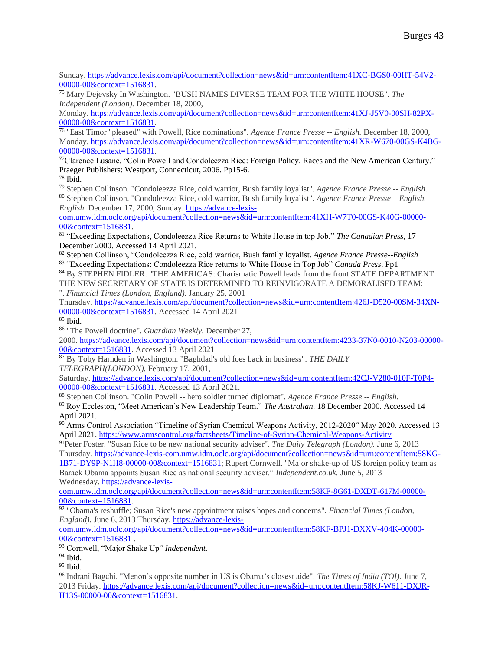Sunday. [https://advance.lexis.com/api/document?collection=news&id=urn:contentItem:41XC-BGS0-00HT-54V2-](https://advance.lexis.com/api/document?collection=news&id=urn:contentItem:41XC-BGS0-00HT-54V2-00000-00&context=1516831) [00000-00&context=1516831.](https://advance.lexis.com/api/document?collection=news&id=urn:contentItem:41XC-BGS0-00HT-54V2-00000-00&context=1516831)

<sup>75</sup> Mary Dejevsky In Washington. "BUSH NAMES DIVERSE TEAM FOR THE WHITE HOUSE". *The Independent (London).* December 18, 2000,

Monday. [https://advance.lexis.com/api/document?collection=news&id=urn:contentItem:41XJ-J5V0-00SH-82PX-](https://advance.lexis.com/api/document?collection=news&id=urn:contentItem:41XJ-J5V0-00SH-82PX-00000-00&context=1516831)[00000-00&context=1516831.](https://advance.lexis.com/api/document?collection=news&id=urn:contentItem:41XJ-J5V0-00SH-82PX-00000-00&context=1516831)

76 "East Timor "pleased" with Powell, Rice nominations". *Agence France Presse -- English.* December 18, 2000, Monday. [https://advance.lexis.com/api/document?collection=news&id=urn:contentItem:41XR-W670-00GS-K4BG-](https://advance.lexis.com/api/document?collection=news&id=urn:contentItem:41XR-W670-00GS-K4BG-00000-00&context=1516831)[00000-00&context=1516831.](https://advance.lexis.com/api/document?collection=news&id=urn:contentItem:41XR-W670-00GS-K4BG-00000-00&context=1516831)

 $77$ Clarence Lusane, "Colin Powell and Condoleezza Rice: Foreign Policy, Races and the New American Century." Praeger Publishers: Westport, Connecticut, 2006. Pp15-6. <sup>78</sup> Ibid.

<sup>79</sup> Stephen Collinson. "Condoleezza Rice, cold warrior, Bush family loyalist". *Agence France Presse -- English.* <sup>80</sup> Stephen Collinson. "Condoleezza Rice, cold warrior, Bush family loyalist". *Agence France Presse – English. English.* December 17, 2000, Sunday. [https://advance-lexis-](https://advance-lexis-com.umw.idm.oclc.org/api/document?collection=news&id=urn:contentItem:41XH-W7T0-00GS-K40G-00000-00&context=1516831)

[com.umw.idm.oclc.org/api/document?collection=news&id=urn:contentItem:41XH-W7T0-00GS-K40G-00000-](https://advance-lexis-com.umw.idm.oclc.org/api/document?collection=news&id=urn:contentItem:41XH-W7T0-00GS-K40G-00000-00&context=1516831) [00&context=1516831.](https://advance-lexis-com.umw.idm.oclc.org/api/document?collection=news&id=urn:contentItem:41XH-W7T0-00GS-K40G-00000-00&context=1516831)

81 "Exceeding Expectations, Condoleezza Rice Returns to White House in top Job." *The Canadian Press,* 17 December 2000. Accessed 14 April 2021.

<sup>82</sup> Stephen Collinson, "Condoleezza Rice, cold warrior, Bush family loyalist. *Agence France Presse--English* <sup>83</sup> "Exceeding Expectations: Condoleezza Rice returns to White House in Top Job" *Canada Press*. Pp1

<sup>84</sup> By STEPHEN FIDLER. "THE AMERICAS: Charismatic Powell leads from the front STATE DEPARTMENT THE NEW SECRETARY OF STATE IS DETERMINED TO REINVIGORATE A DEMORALISED TEAM: ". *Financial Times (London, England).* January 25, 2001

Thursday. [https://advance.lexis.com/api/document?collection=news&id=urn:contentItem:426J-D520-00SM-34XN-](https://advance.lexis.com/api/document?collection=news&id=urn:contentItem:426J-D520-00SM-34XN-00000-00&context=1516831)[00000-00&context=1516831.](https://advance.lexis.com/api/document?collection=news&id=urn:contentItem:426J-D520-00SM-34XN-00000-00&context=1516831) Accessed 14 April 2021

 $85$  Ibid.

<sup>86</sup> "The Powell doctrine". *Guardian Weekly.* December 27,

2000. [https://advance.lexis.com/api/document?collection=news&id=urn:contentItem:4233-37N0-0010-N203-00000-](https://advance.lexis.com/api/document?collection=news&id=urn:contentItem:4233-37N0-0010-N203-00000-00&context=1516831) [00&context=1516831.](https://advance.lexis.com/api/document?collection=news&id=urn:contentItem:4233-37N0-0010-N203-00000-00&context=1516831) Accessed 13 April 2021

<sup>87</sup> By Toby Harnden in Washington. "Baghdad's old foes back in business". *THE DAILY TELEGRAPH(LONDON).* February 17, 2001,

Saturday. [https://advance.lexis.com/api/document?collection=news&id=urn:contentItem:42CJ-V280-010F-T0P4-](https://advance.lexis.com/api/document?collection=news&id=urn:contentItem:42CJ-V280-010F-T0P4-00000-00&context=1516831) [00000-00&context=1516831.](https://advance.lexis.com/api/document?collection=news&id=urn:contentItem:42CJ-V280-010F-T0P4-00000-00&context=1516831) Accessed 13 April 2021.

<sup>88</sup> Stephen Collinson. "Colin Powell -- hero soldier turned diplomat". *Agence France Presse -- English.*

<sup>89</sup> Roy Eccleston, "Meet American's New Leadership Team." *The Australian*. 18 December 2000. Accessed 14 April 2021.

<sup>90</sup> Arms Control Association "Timeline of Syrian Chemical Weapons Activity, 2012-2020" May 2020. Accessed 13 April 2021[. https://www.armscontrol.org/factsheets/Timeline-of-Syrian-Chemical-Weapons-Activity](https://www.armscontrol.org/factsheets/Timeline-of-Syrian-Chemical-Weapons-Activity)

<sup>91</sup>Peter Foster. "Susan Rice to be new national security adviser". *The Daily Telegraph (London).* June 6, 2013 Thursday. [https://advance-lexis-com.umw.idm.oclc.org/api/document?collection=news&id=urn:contentItem:58KG-](https://advance-lexis-com.umw.idm.oclc.org/api/document?collection=news&id=urn:contentItem:58KG-1B71-DY9P-N1H8-00000-00&context=1516831)[1B71-DY9P-N1H8-00000-00&context=1516831;](https://advance-lexis-com.umw.idm.oclc.org/api/document?collection=news&id=urn:contentItem:58KG-1B71-DY9P-N1H8-00000-00&context=1516831) Rupert Cornwell. "Major shake-up of US foreign policy team as Barack Obama appoints Susan Rice as national security adviser." *Independent.co.uk.* June 5, 2013

Wednesday. [https://advance-lexis-](https://advance-lexis-com.umw.idm.oclc.org/api/document?collection=news&id=urn:contentItem:58KF-8G61-DXDT-617M-00000-00&context=1516831)

[com.umw.idm.oclc.org/api/document?collection=news&id=urn:contentItem:58KF-8G61-DXDT-617M-00000-](https://advance-lexis-com.umw.idm.oclc.org/api/document?collection=news&id=urn:contentItem:58KF-8G61-DXDT-617M-00000-00&context=1516831) [00&context=1516831.](https://advance-lexis-com.umw.idm.oclc.org/api/document?collection=news&id=urn:contentItem:58KF-8G61-DXDT-617M-00000-00&context=1516831)

<sup>92</sup> "Obama's reshuffle; Susan Rice's new appointment raises hopes and concerns". *Financial Times (London, England).* June 6, 2013 Thursday. [https://advance-lexis-](https://advance-lexis-com.umw.idm.oclc.org/api/document?collection=news&id=urn:contentItem:58KF-BPJ1-DXXV-404K-00000-00&context=1516831)

[com.umw.idm.oclc.org/api/document?collection=news&id=urn:contentItem:58KF-BPJ1-DXXV-404K-00000-](https://advance-lexis-com.umw.idm.oclc.org/api/document?collection=news&id=urn:contentItem:58KF-BPJ1-DXXV-404K-00000-00&context=1516831) [00&context=1516831](https://advance-lexis-com.umw.idm.oclc.org/api/document?collection=news&id=urn:contentItem:58KF-BPJ1-DXXV-404K-00000-00&context=1516831) .

<sup>93</sup> Cornwell, "Major Shake Up" *Independent.*

<sup>94</sup> Ibid.

 $95$  Ibid.

<sup>96</sup> Indrani Bagchi. "Menon's opposite number in US is Obama's closest aide". *The Times of India (TOI).* June 7, 2013 Friday. [https://advance.lexis.com/api/document?collection=news&id=urn:contentItem:58KJ-W611-DXJR-](https://advance.lexis.com/api/document?collection=news&id=urn:contentItem:58KJ-W611-DXJR-H13S-00000-00&context=1516831)[H13S-00000-00&context=1516831.](https://advance.lexis.com/api/document?collection=news&id=urn:contentItem:58KJ-W611-DXJR-H13S-00000-00&context=1516831)